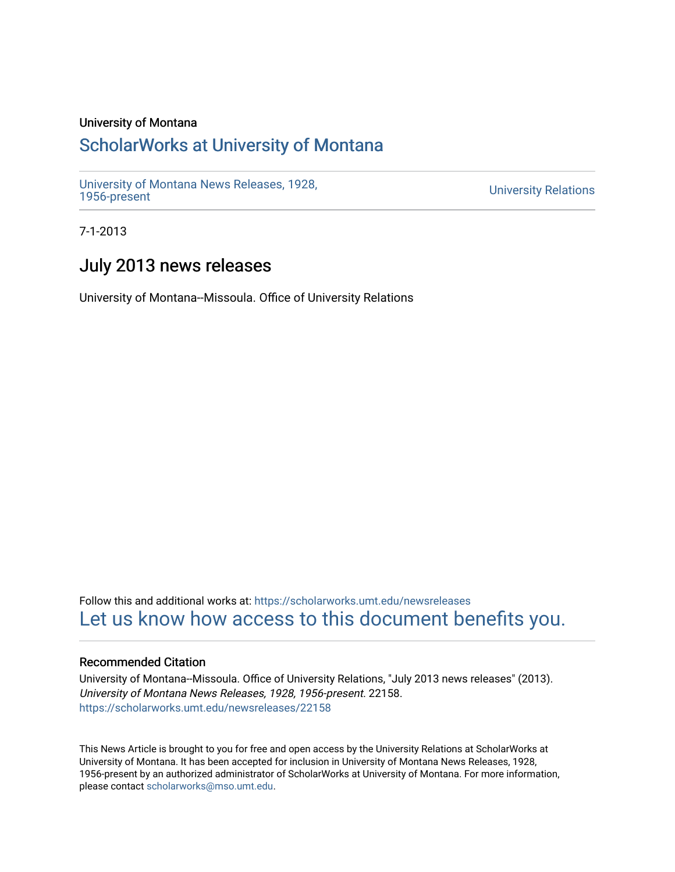### University of Montana

# [ScholarWorks at University of Montana](https://scholarworks.umt.edu/)

[University of Montana News Releases, 1928,](https://scholarworks.umt.edu/newsreleases) 

**University Relations** 

7-1-2013

# July 2013 news releases

University of Montana--Missoula. Office of University Relations

Follow this and additional works at: [https://scholarworks.umt.edu/newsreleases](https://scholarworks.umt.edu/newsreleases?utm_source=scholarworks.umt.edu%2Fnewsreleases%2F22158&utm_medium=PDF&utm_campaign=PDFCoverPages) [Let us know how access to this document benefits you.](https://goo.gl/forms/s2rGfXOLzz71qgsB2) 

#### Recommended Citation

University of Montana--Missoula. Office of University Relations, "July 2013 news releases" (2013). University of Montana News Releases, 1928, 1956-present. 22158. [https://scholarworks.umt.edu/newsreleases/22158](https://scholarworks.umt.edu/newsreleases/22158?utm_source=scholarworks.umt.edu%2Fnewsreleases%2F22158&utm_medium=PDF&utm_campaign=PDFCoverPages) 

This News Article is brought to you for free and open access by the University Relations at ScholarWorks at University of Montana. It has been accepted for inclusion in University of Montana News Releases, 1928, 1956-present by an authorized administrator of ScholarWorks at University of Montana. For more information, please contact [scholarworks@mso.umt.edu.](mailto:scholarworks@mso.umt.edu)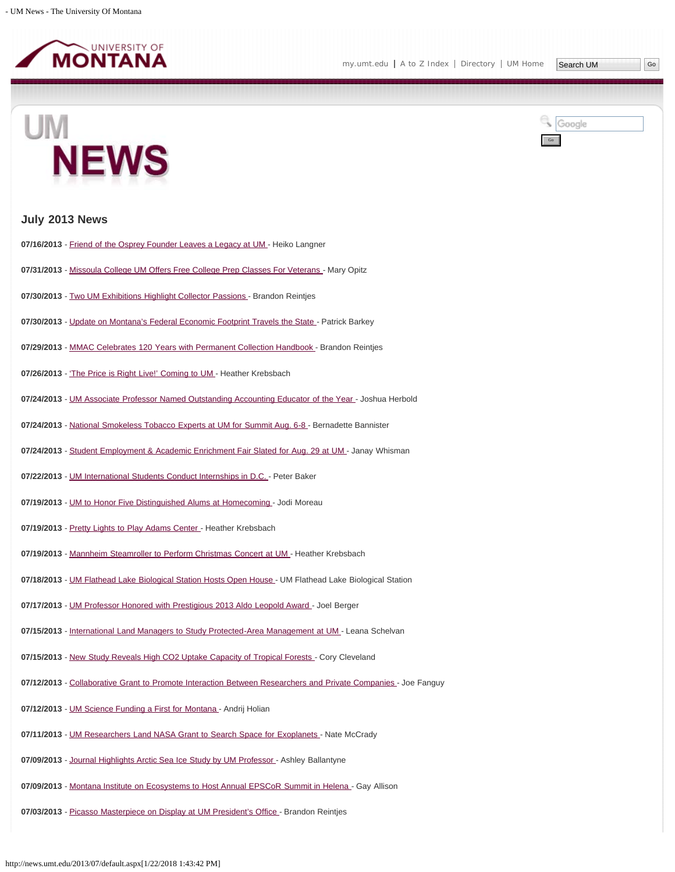

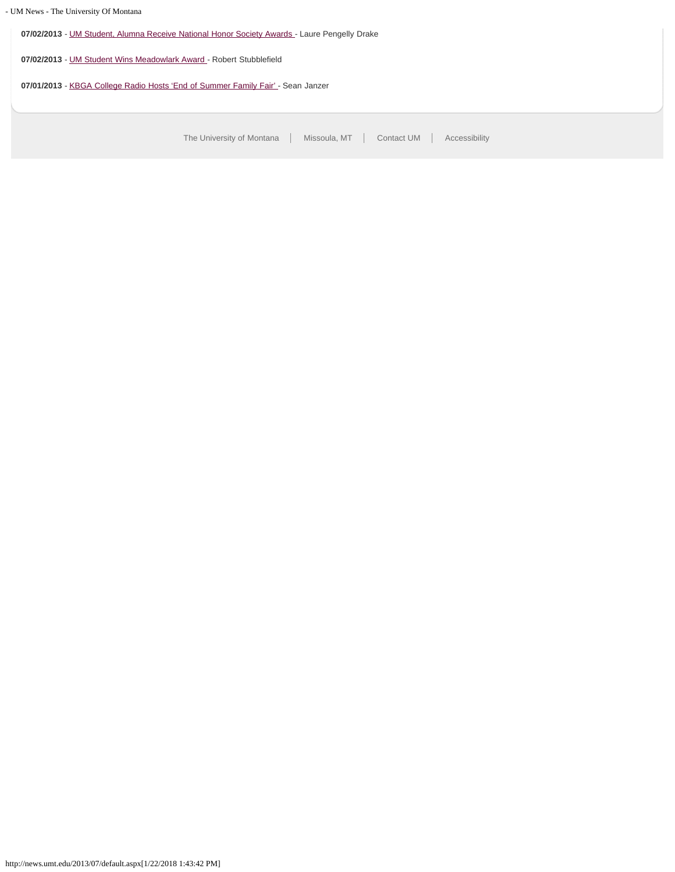**07/02/2013** - [UM Student, Alumna Receive National Honor Society Awards -](#page-32-0) Laure Pengelly Drake **07/02/2013** - [UM Student Wins Meadowlark Award](#page-34-0) - Robert Stubblefield 07/01/2013 - [KBGA College Radio Hosts 'End of Summer Family Fair'](#page-35-0) - Sean Janzer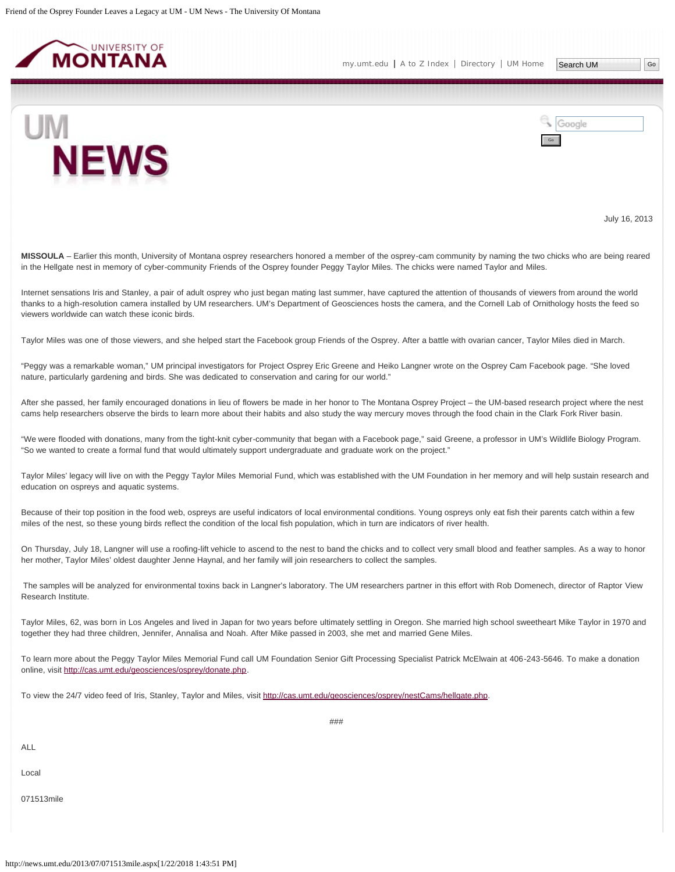<span id="page-3-0"></span>



July 16, 2013

**MISSOULA** – Earlier this month, University of Montana osprey researchers honored a member of the osprey-cam community by naming the two chicks who are being reared in the Hellgate nest in memory of cyber-community Friends of the Osprey founder Peggy Taylor Miles. The chicks were named Taylor and Miles.

Internet sensations Iris and Stanley, a pair of adult osprey who just began mating last summer, have captured the attention of thousands of viewers from around the world thanks to a high-resolution camera installed by UM researchers. UM's Department of Geosciences hosts the camera, and the Cornell Lab of Ornithology hosts the feed so viewers worldwide can watch these iconic birds.

Taylor Miles was one of those viewers, and she helped start the Facebook group Friends of the Osprey. After a battle with ovarian cancer, Taylor Miles died in March.

"Peggy was a remarkable woman," UM principal investigators for Project Osprey Eric Greene and Heiko Langner wrote on the Osprey Cam Facebook page. "She loved nature, particularly gardening and birds. She was dedicated to conservation and caring for our world."

After she passed, her family encouraged donations in lieu of flowers be made in her honor to The Montana Osprey Project – the UM-based research project where the nest cams help researchers observe the birds to learn more about their habits and also study the way mercury moves through the food chain in the Clark Fork River basin.

"We were flooded with donations, many from the tight-knit cyber-community that began with a Facebook page," said Greene, a professor in UM's Wildlife Biology Program. "So we wanted to create a formal fund that would ultimately support undergraduate and graduate work on the project."

Taylor Miles' legacy will live on with the Peggy Taylor Miles Memorial Fund, which was established with the UM Foundation in her memory and will help sustain research and education on ospreys and aquatic systems.

Because of their top position in the food web, ospreys are useful indicators of local environmental conditions. Young ospreys only eat fish their parents catch within a few miles of the nest, so these young birds reflect the condition of the local fish population, which in turn are indicators of river health.

On Thursday, July 18, Langner will use a roofing-lift vehicle to ascend to the nest to band the chicks and to collect very small blood and feather samples. As a way to honor her mother, Taylor Miles' oldest daughter Jenne Haynal, and her family will join researchers to collect the samples.

The samples will be analyzed for environmental toxins back in Langner's laboratory. The UM researchers partner in this effort with Rob Domenech, director of Raptor View Research Institute.

Taylor Miles, 62, was born in Los Angeles and lived in Japan for two years before ultimately settling in Oregon. She married high school sweetheart Mike Taylor in 1970 and together they had three children, Jennifer, Annalisa and Noah. After Mike passed in 2003, she met and married Gene Miles.

To learn more about the Peggy Taylor Miles Memorial Fund call UM Foundation Senior Gift Processing Specialist Patrick McElwain at 406-243-5646. To make a donation online, visit [http://cas.umt.edu/geosciences/osprey/donate.php.](http://cas.umt.edu/geosciences/osprey/donate.php)

###

To view the 24/7 video feed of Iris, Stanley, Taylor and Miles, visit [http://cas.umt.edu/geosciences/osprey/nestCams/hellgate.php.](http://cas.umt.edu/geosciences/osprey/nestCams/hellgate.php)

ALL

Local

071513mile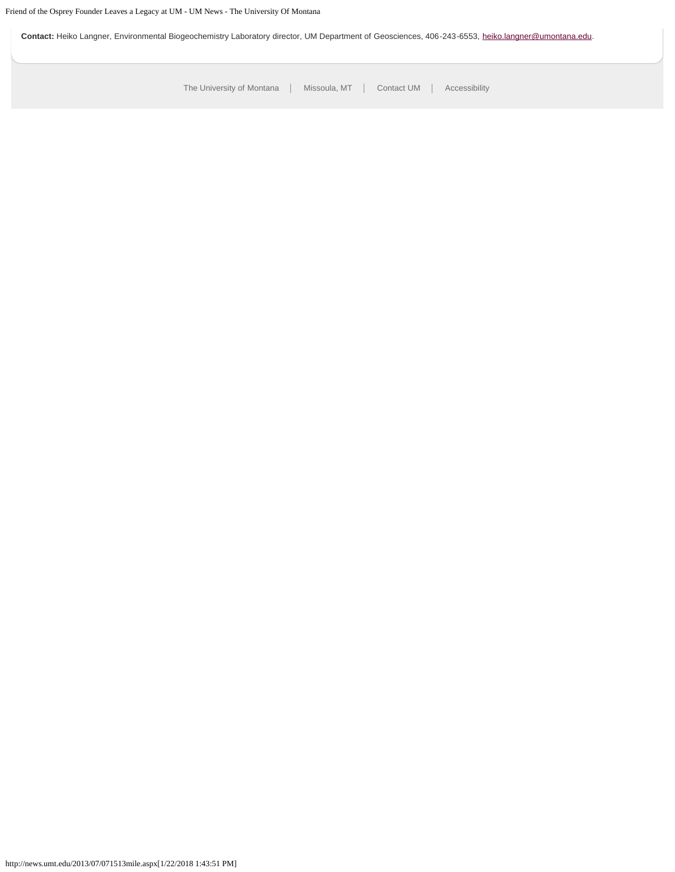Contact: Heiko Langner, Environmental Biogeochemistry Laboratory director, UM Department of Geosciences, 406-243-6553, [heiko.langner@umontana.edu](mailto:heiko.langner@umontana.edu).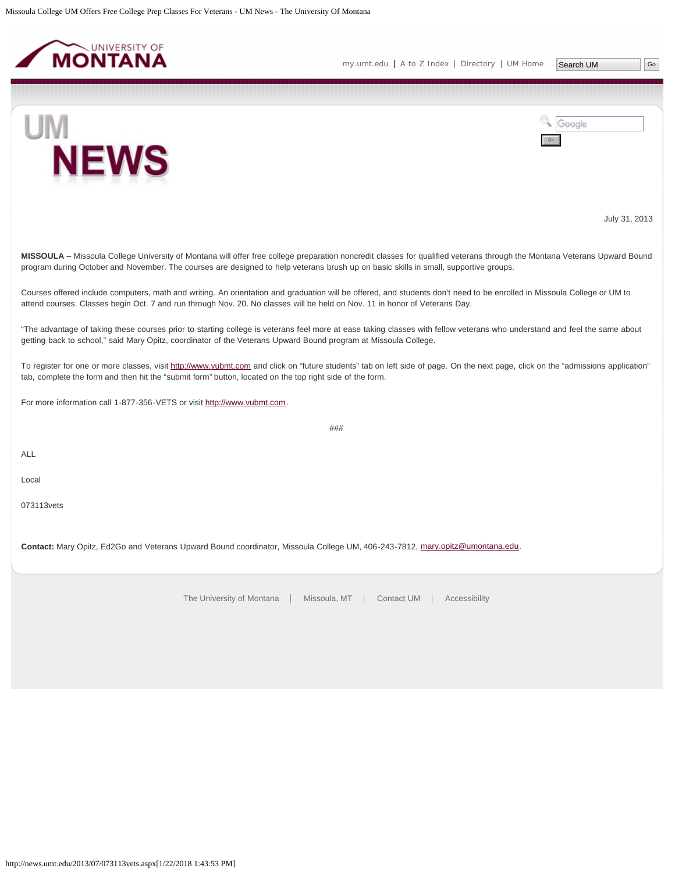<span id="page-5-0"></span>

UM



July 31, 2013

**MISSOULA** – Missoula College University of Montana will offer free college preparation noncredit classes for qualified veterans through the Montana Veterans Upward Bound program during October and November. The courses are designed to help veterans brush up on basic skills in small, supportive groups.

Courses offered include computers, math and writing. An orientation and graduation will be offered, and students don't need to be enrolled in Missoula College or UM to attend courses. Classes begin Oct. 7 and run through Nov. 20. No classes will be held on Nov. 11 in honor of Veterans Day.

"The advantage of taking these courses prior to starting college is veterans feel more at ease taking classes with fellow veterans who understand and feel the same about getting back to school," said Mary Opitz, coordinator of the Veterans Upward Bound program at Missoula College.

To register for one or more classes, visit [http://www.vubmt.com](http://www.vubmt.com/) and click on "future students" tab on left side of page. On the next page, click on the "admissions application" tab, complete the form and then hit the "submit form" button, located on the top right side of the form.

###

For more information call 1-877-356-VETS or visit [http://www.vubmt.com](http://www.vubmt.com/).

ALL

Local

073113vets

**Contact:** Mary Opitz, Ed2Go and Veterans Upward Bound coordinator, Missoula College UM, 406-243-7812, [mary.opitz@umontana.edu](mailto:mary.opitz@umontana.edu).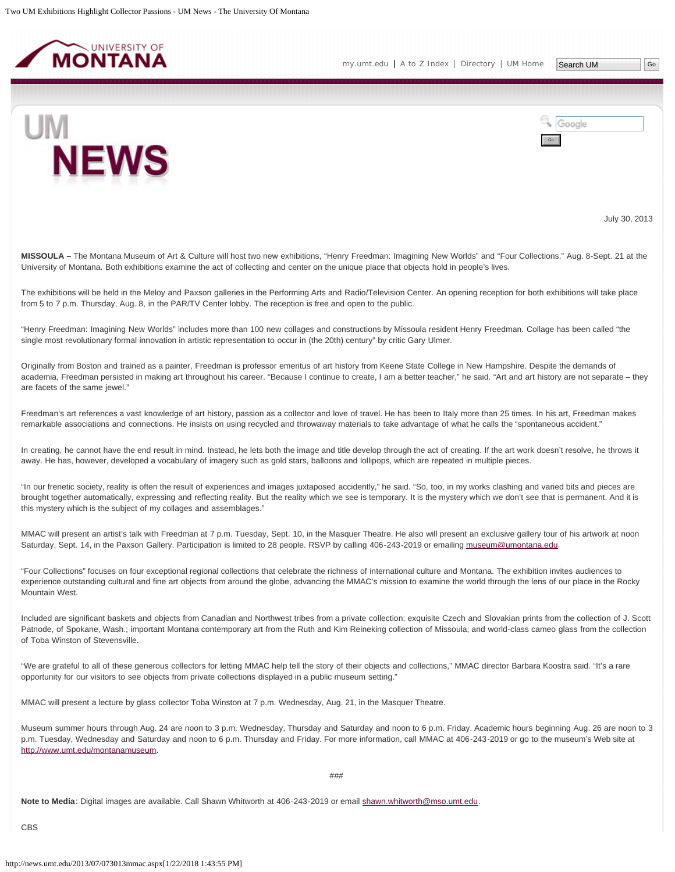<span id="page-6-0"></span>



July 30, 2013

**MISSOULA –** The Montana Museum of Art & Culture will host two new exhibitions, "Henry Freedman: Imagining New Worlds" and "Four Collections," Aug. 8-Sept. 21 at the University of Montana. Both exhibitions examine the act of collecting and center on the unique place that objects hold in people's lives.

The exhibitions will be held in the Meloy and Paxson galleries in the Performing Arts and Radio/Television Center. An opening reception for both exhibitions will take place from 5 to 7 p.m. Thursday, Aug. 8, in the PAR/TV Center lobby. The reception is free and open to the public.

"Henry Freedman: Imagining New Worlds" includes more than 100 new collages and constructions by Missoula resident Henry Freedman. Collage has been called "the single most revolutionary formal innovation in artistic representation to occur in (the 20th) century" by critic Gary Ulmer.

Originally from Boston and trained as a painter, Freedman is professor emeritus of art history from Keene State College in New Hampshire. Despite the demands of academia, Freedman persisted in making art throughout his career. "Because I continue to create, I am a better teacher," he said. "Art and art history are not separate – they are facets of the same jewel."

Freedman's art references a vast knowledge of art history, passion as a collector and love of travel. He has been to Italy more than 25 times. In his art, Freedman makes remarkable associations and connections. He insists on using recycled and throwaway materials to take advantage of what he calls the "spontaneous accident."

In creating, he cannot have the end result in mind. Instead, he lets both the image and title develop through the act of creating. If the art work doesn't resolve, he throws it away. He has, however, developed a vocabulary of imagery such as gold stars, balloons and lollipops, which are repeated in multiple pieces.

"In our frenetic society, reality is often the result of experiences and images juxtaposed accidently," he said. "So, too, in my works clashing and varied bits and pieces are brought together automatically, expressing and reflecting reality. But the reality which we see is temporary. It is the mystery which we don't see that is permanent. And it is this mystery which is the subject of my collages and assemblages."

MMAC will present an artist's talk with Freedman at 7 p.m. Tuesday, Sept. 10, in the Masquer Theatre. He also will present an exclusive gallery tour of his artwork at noon Saturday, Sept. 14, in the Paxson Gallery. Participation is limited to 28 people. RSVP by calling 406-243-2019 or emailing [museum@umontana.edu](mailto:museum@umontana.edu).

"Four Collections" focuses on four exceptional regional collections that celebrate the richness of international culture and Montana. The exhibition invites audiences to experience outstanding cultural and fine art objects from around the globe, advancing the MMAC's mission to examine the world through the lens of our place in the Rocky Mountain West.

Included are significant baskets and objects from Canadian and Northwest tribes from a private collection; exquisite Czech and Slovakian prints from the collection of J. Scott Patnode, of Spokane, Wash.; important Montana contemporary art from the Ruth and Kim Reineking collection of Missoula; and world-class cameo glass from the collection of Toba Winston of Stevensville.

"We are grateful to all of these generous collectors for letting MMAC help tell the story of their objects and collections," MMAC director Barbara Koostra said. "It's a rare opportunity for our visitors to see objects from private collections displayed in a public museum setting."

MMAC will present a lecture by glass collector Toba Winston at 7 p.m. Wednesday, Aug. 21, in the Masquer Theatre.

Museum summer hours through Aug. 24 are noon to 3 p.m. Wednesday, Thursday and Saturday and noon to 6 p.m. Friday. Academic hours beginning Aug. 26 are noon to 3 p.m. Tuesday, Wednesday and Saturday and noon to 6 p.m. Thursday and Friday. For more information, call MMAC at 406-243-2019 or go to the museum's Web site at [http://www.umt.edu/montanamuseum.](http://www.umt.edu/montanamuseum)

###

**Note to Media**: Digital images are available. Call Shawn Whitworth at 406-243-2019 or email [shawn.whitworth@mso.umt.edu](mailto:shawn.whitworth@mso.umt.edu).

CBS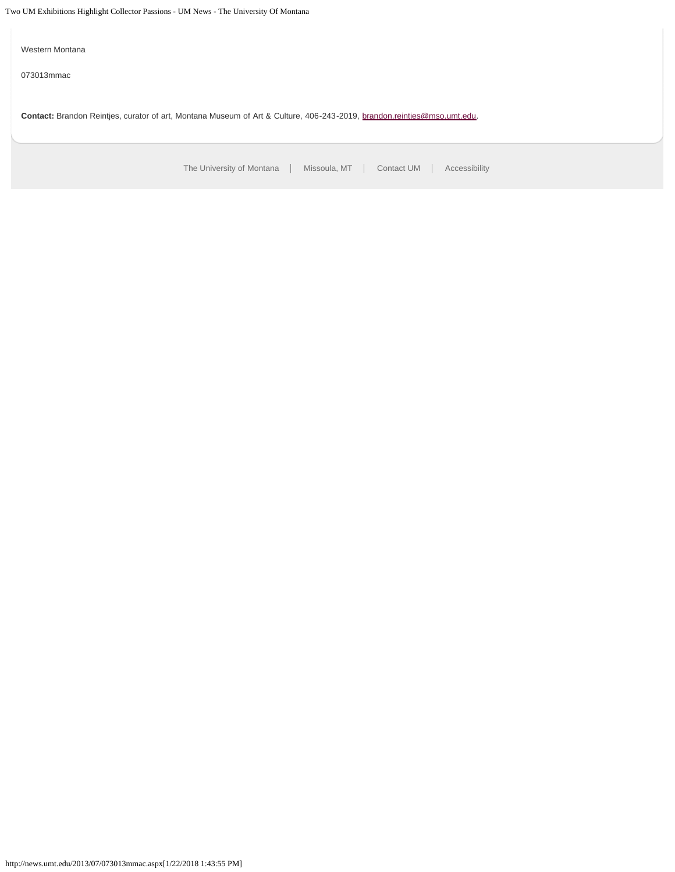Two UM Exhibitions Highlight Collector Passions - UM News - The University Of Montana

Western Montana 073013mmac

**Contact:** Brandon Reintjes, curator of art, Montana Museum of Art & Culture, 406-243-2019, [brandon.reintjes@mso.umt.edu.](mailto:brandon.reintjes@mso.umt.edu)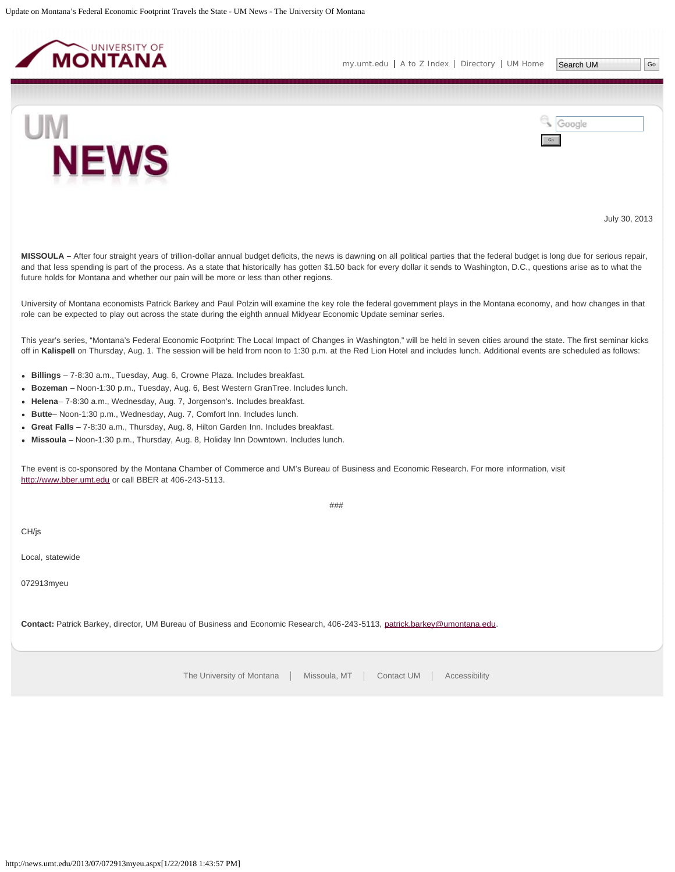<span id="page-8-0"></span>



Google Go

July 30, 2013

**MISSOULA –** After four straight years of trillion-dollar annual budget deficits, the news is dawning on all political parties that the federal budget is long due for serious repair, and that less spending is part of the process. As a state that historically has gotten \$1.50 back for every dollar it sends to Washington, D.C., questions arise as to what the future holds for Montana and whether our pain will be more or less than other regions.

University of Montana economists Patrick Barkey and Paul Polzin will examine the key role the federal government plays in the Montana economy, and how changes in that role can be expected to play out across the state during the eighth annual Midyear Economic Update seminar series.

This year's series, "Montana's Federal Economic Footprint: The Local Impact of Changes in Washington," will be held in seven cities around the state. The first seminar kicks off in **Kalispell** on Thursday, Aug. 1. The session will be held from noon to 1:30 p.m. at the Red Lion Hotel and includes lunch. Additional events are scheduled as follows:

- **Billings** 7-8:30 a.m., Tuesday, Aug. 6, Crowne Plaza. Includes breakfast.
- **Bozeman** Noon-1:30 p.m., Tuesday, Aug. 6, Best Western GranTree. Includes lunch.
- **Helena** 7-8:30 a.m., Wednesday, Aug. 7, Jorgenson's. Includes breakfast.
- **Butte** Noon-1:30 p.m., Wednesday, Aug. 7, Comfort Inn. Includes lunch.
- **Great Falls** 7-8:30 a.m., Thursday, Aug. 8, Hilton Garden Inn. Includes breakfast.
- **Missoula** Noon-1:30 p.m., Thursday, Aug. 8, Holiday Inn Downtown. Includes lunch.

The event is co-sponsored by the Montana Chamber of Commerce and UM's Bureau of Business and Economic Research. For more information, visit [http://www.bber.umt.edu](http://www.bber.umt.edu/) or call BBER at 406-243-5113.

###

CH/js

Local, statewide

072913myeu

**Contact:** Patrick Barkey, director, UM Bureau of Business and Economic Research, 406-243-5113, [patrick.barkey@umontana.edu](mailto:patrick.barkey@umontana.edu).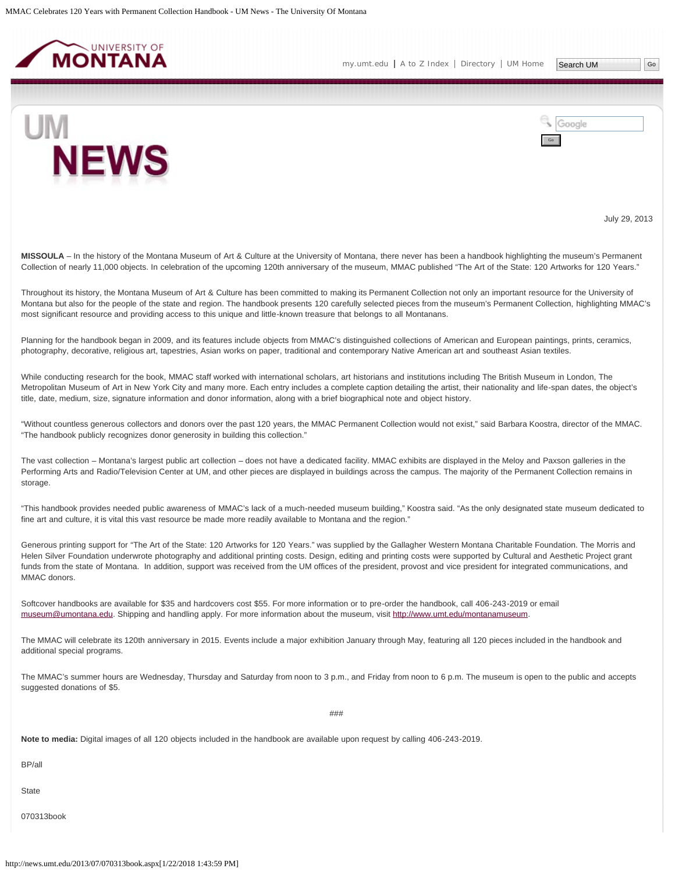<span id="page-9-0"></span>

Google



July 29, 2013

MISSOULA – In the history of the Montana Museum of Art & Culture at the University of Montana, there never has been a handbook highlighting the museum's Permanent Collection of nearly 11,000 objects. In celebration of the upcoming 120th anniversary of the museum, MMAC published "The Art of the State: 120 Artworks for 120 Years."

Throughout its history, the Montana Museum of Art & Culture has been committed to making its Permanent Collection not only an important resource for the University of Montana but also for the people of the state and region. The handbook presents 120 carefully selected pieces from the museum's Permanent Collection, highlighting MMAC's most significant resource and providing access to this unique and little-known treasure that belongs to all Montanans.

Planning for the handbook began in 2009, and its features include objects from MMAC's distinguished collections of American and European paintings, prints, ceramics, photography, decorative, religious art, tapestries, Asian works on paper, traditional and contemporary Native American art and southeast Asian textiles.

While conducting research for the book, MMAC staff worked with international scholars, art historians and institutions including The British Museum in London, The Metropolitan Museum of Art in New York City and many more. Each entry includes a complete caption detailing the artist, their nationality and life-span dates, the object's title, date, medium, size, signature information and donor information, along with a brief biographical note and object history.

"Without countless generous collectors and donors over the past 120 years, the MMAC Permanent Collection would not exist," said Barbara Koostra, director of the MMAC. "The handbook publicly recognizes donor generosity in building this collection."

The vast collection – Montana's largest public art collection – does not have a dedicated facility. MMAC exhibits are displayed in the Meloy and Paxson galleries in the Performing Arts and Radio/Television Center at UM, and other pieces are displayed in buildings across the campus. The majority of the Permanent Collection remains in storage.

"This handbook provides needed public awareness of MMAC's lack of a much-needed museum building," Koostra said. "As the only designated state museum dedicated to fine art and culture, it is vital this vast resource be made more readily available to Montana and the region."

Generous printing support for "The Art of the State: 120 Artworks for 120 Years." was supplied by the Gallagher Western Montana Charitable Foundation. The Morris and Helen Silver Foundation underwrote photography and additional printing costs. Design, editing and printing costs were supported by Cultural and Aesthetic Project grant funds from the state of Montana. In addition, support was received from the UM offices of the president, provost and vice president for integrated communications, and MMAC donors.

Softcover handbooks are available for \$35 and hardcovers cost \$55. For more information or to pre-order the handbook, call 406-243-2019 or email [museum@umontana.edu](mailto:museum@umontana.edu). Shipping and handling apply. For more information about the museum, visit<http://www.umt.edu/montanamuseum>.

The MMAC will celebrate its 120th anniversary in 2015. Events include a major exhibition January through May, featuring all 120 pieces included in the handbook and additional special programs.

The MMAC's summer hours are Wednesday, Thursday and Saturday from noon to 3 p.m., and Friday from noon to 6 p.m. The museum is open to the public and accepts suggested donations of \$5.

###

**Note to media:** Digital images of all 120 objects included in the handbook are available upon request by calling 406-243-2019.

BP/all

**State** 

070313book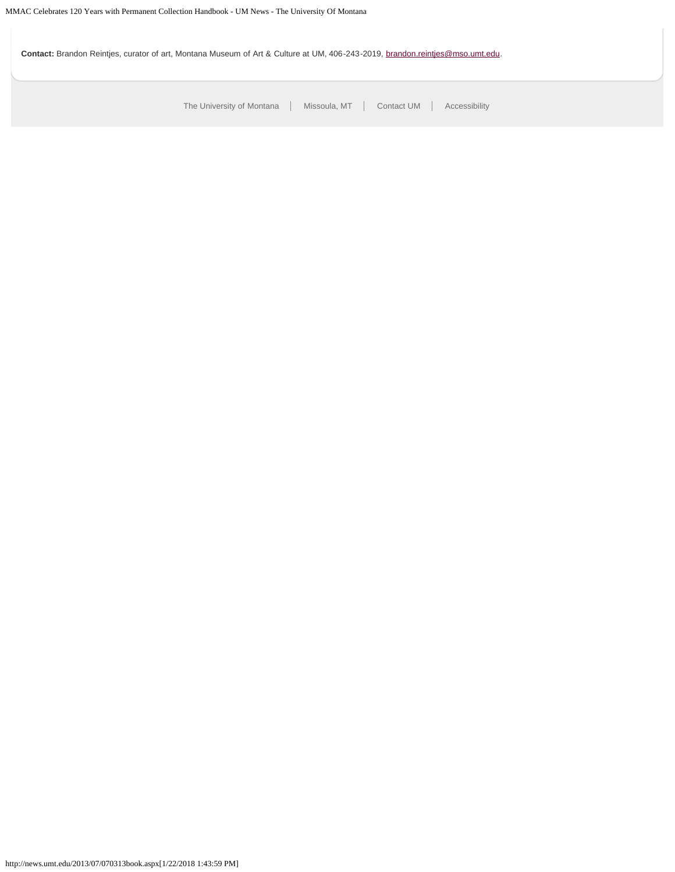Contact: Brandon Reintjes, curator of art, Montana Museum of Art & Culture at UM, 406-243-2019, [brandon.reintjes@mso.umt.edu.](mailto:brandon.reintjes@mso.umt.edu)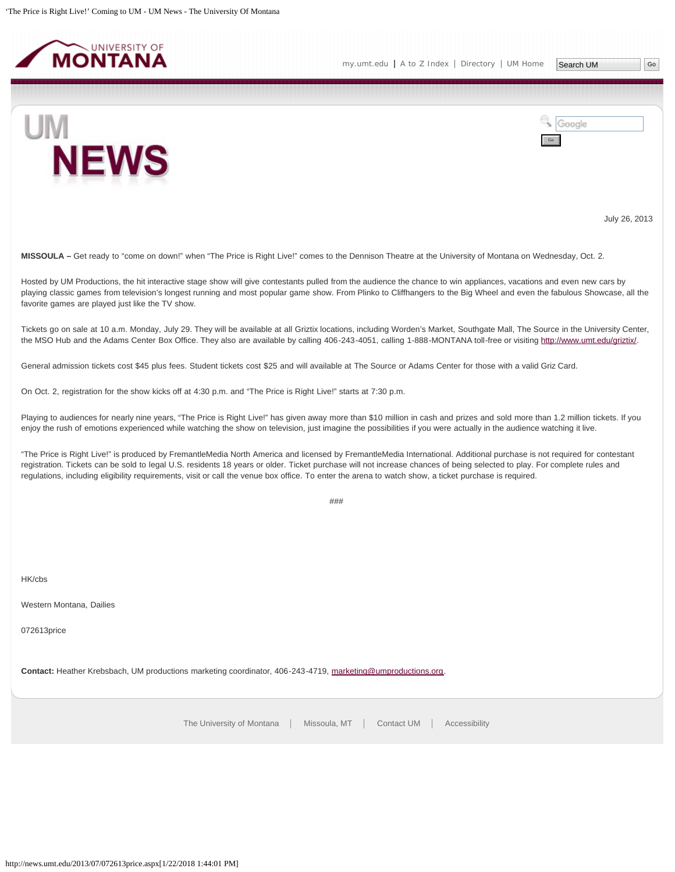<span id="page-11-0"></span>

UM



July 26, 2013

**MISSOULA –** Get ready to "come on down!" when "The Price is Right Live!" comes to the Dennison Theatre at the University of Montana on Wednesday, Oct. 2.

Hosted by UM Productions, the hit interactive stage show will give contestants pulled from the audience the chance to win appliances, vacations and even new cars by playing classic games from television's longest running and most popular game show. From Plinko to Cliffhangers to the Big Wheel and even the fabulous Showcase, all the favorite games are played just like the TV show.

Tickets go on sale at 10 a.m. Monday, July 29. They will be available at all Griztix locations, including Worden's Market, Southgate Mall, The Source in the University Center, the MSO Hub and the Adams Center Box Office. They also are available by calling 406-243-4051, calling 1-888-MONTANA toll-free or visiting [http://www.umt.edu/griztix/.](http://www.umt.edu/griztix/)

General admission tickets cost \$45 plus fees. Student tickets cost \$25 and will available at The Source or Adams Center for those with a valid Griz Card.

On Oct. 2, registration for the show kicks off at 4:30 p.m. and "The Price is Right Live!" starts at 7:30 p.m.

Playing to audiences for nearly nine years, "The Price is Right Live!" has given away more than \$10 million in cash and prizes and sold more than 1.2 million tickets. If you enjoy the rush of emotions experienced while watching the show on television, just imagine the possibilities if you were actually in the audience watching it live.

"The Price is Right Live!" is produced by FremantleMedia North America and licensed by FremantleMedia International. Additional purchase is not required for contestant registration. Tickets can be sold to legal U.S. residents 18 years or older. Ticket purchase will not increase chances of being selected to play. For complete rules and regulations, including eligibility requirements, visit or call the venue box office. To enter the arena to watch show, a ticket purchase is required.

###

HK/cbs

Western Montana, Dailies

072613price

**Contact:** Heather Krebsbach, UM productions marketing coordinator, 406-243-4719, [marketing@umproductions.org.](mailto:marketing@umproductions.org)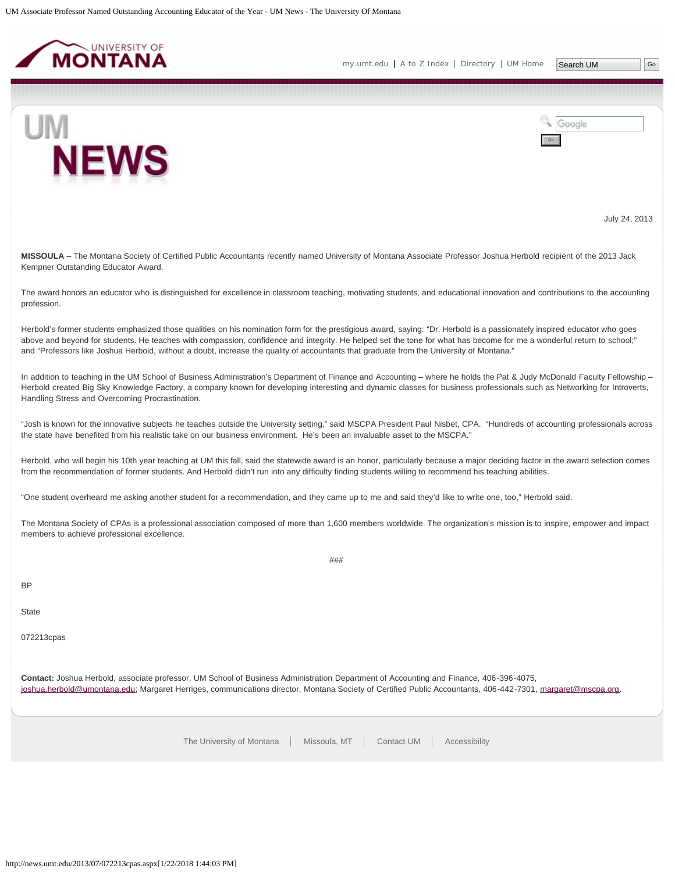<span id="page-12-0"></span>



Google



July 24, 2013

**MISSOULA** – The Montana Society of Certified Public Accountants recently named University of Montana Associate Professor Joshua Herbold recipient of the 2013 Jack Kempner Outstanding Educator Award.

The award honors an educator who is distinguished for excellence in classroom teaching, motivating students, and educational innovation and contributions to the accounting profession.

Herbold's former students emphasized those qualities on his nomination form for the prestigious award, saying: "Dr. Herbold is a passionately inspired educator who goes above and beyond for students. He teaches with compassion, confidence and integrity. He helped set the tone for what has become for me a wonderful return to school;" and "Professors like Joshua Herbold, without a doubt, increase the quality of accountants that graduate from the University of Montana."

In addition to teaching in the UM School of Business Administration's Department of Finance and Accounting – where he holds the Pat & Judy McDonald Faculty Fellowship – Herbold created Big Sky Knowledge Factory, a company known for developing interesting and dynamic classes for business professionals such as Networking for Introverts, Handling Stress and Overcoming Procrastination.

"Josh is known for the innovative subjects he teaches outside the University setting," said MSCPA President Paul Nisbet, CPA. "Hundreds of accounting professionals across the state have benefited from his realistic take on our business environment. He's been an invaluable asset to the MSCPA."

Herbold, who will begin his 10th year teaching at UM this fall, said the statewide award is an honor, particularly because a major deciding factor in the award selection comes from the recommendation of former students. And Herbold didn't run into any difficulty finding students willing to recommend his teaching abilities.

"One student overheard me asking another student for a recommendation, and they came up to me and said they'd like to write one, too," Herbold said.

The Montana Society of CPAs is a professional association composed of more than 1,600 members worldwide. The organization's mission is to inspire, empower and impact members to achieve professional excellence.

###

**BP** 

**State** 

072213cpas

**Contact:** Joshua Herbold, associate professor, UM School of Business Administration Department of Accounting and Finance, 406-396-4075, [joshua.herbold@umontana.edu;](mailto:joshua.herbold@umontana.edu) Margaret Herriges, communications director, Montana Society of Certified Public Accountants, 406-442-7301, [margaret@mscpa.org](mailto:margaret@mscpa.org).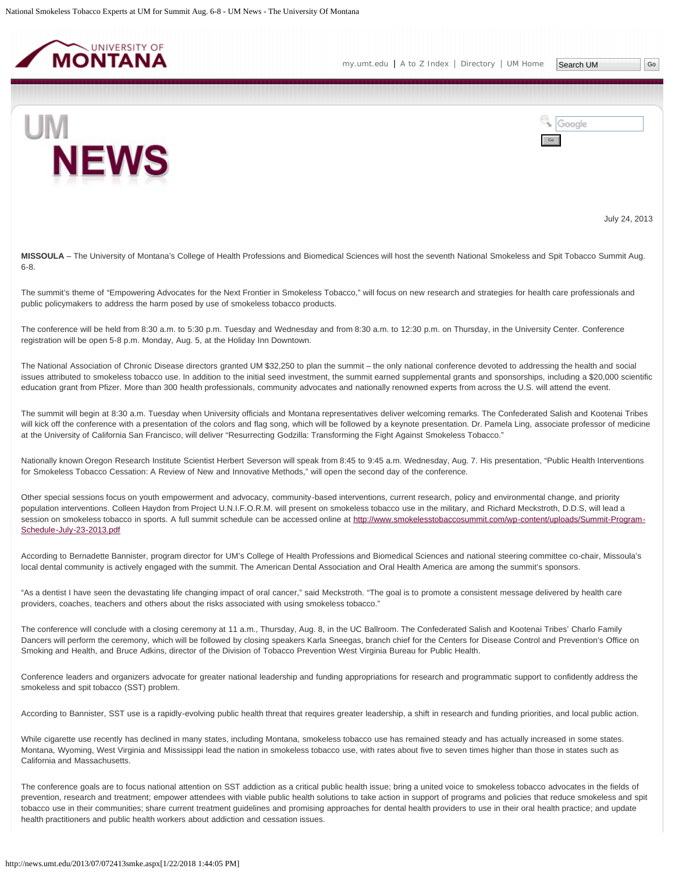<span id="page-13-0"></span>



July 24, 2013

**MISSOULA** – The University of Montana's College of Health Professions and Biomedical Sciences will host the seventh National Smokeless and Spit Tobacco Summit Aug. 6-8.

The summit's theme of "Empowering Advocates for the Next Frontier in Smokeless Tobacco," will focus on new research and strategies for health care professionals and public policymakers to address the harm posed by use of smokeless tobacco products.

The conference will be held from 8:30 a.m. to 5:30 p.m. Tuesday and Wednesday and from 8:30 a.m. to 12:30 p.m. on Thursday, in the University Center. Conference registration will be open 5-8 p.m. Monday, Aug. 5, at the Holiday Inn Downtown.

The National Association of Chronic Disease directors granted UM \$32,250 to plan the summit – the only national conference devoted to addressing the health and social issues attributed to smokeless tobacco use. In addition to the initial seed investment, the summit earned supplemental grants and sponsorships, including a \$20,000 scientific education grant from Pfizer. More than 300 health professionals, community advocates and nationally renowned experts from across the U.S. will attend the event.

The summit will begin at 8:30 a.m. Tuesday when University officials and Montana representatives deliver welcoming remarks. The Confederated Salish and Kootenai Tribes will kick off the conference with a presentation of the colors and flag song, which will be followed by a keynote presentation. Dr. Pamela Ling, associate professor of medicine at the University of California San Francisco, will deliver "Resurrecting Godzilla: Transforming the Fight Against Smokeless Tobacco."

Nationally known Oregon Research Institute Scientist Herbert Severson will speak from 8:45 to 9:45 a.m. Wednesday, Aug. 7. His presentation, "Public Health Interventions for Smokeless Tobacco Cessation: A Review of New and Innovative Methods," will open the second day of the conference.

Other special sessions focus on youth empowerment and advocacy, community-based interventions, current research, policy and environmental change, and priority population interventions. Colleen Haydon from Project U.N.I.F.O.R.M. will present on smokeless tobacco use in the military, and Richard Meckstroth, D.D.S, will lead a session on smokeless tobacco in sports. A full summit schedule can be accessed online at [http://www.smokelesstobaccosummit.com/wp-content/uploads/Summit-Program-](http://www.smokelesstobaccosummit.com/wp-content/uploads/Summit-Program-Schedule-July-23-2013.pdf)[Schedule-July-23-2013.pdf](http://www.smokelesstobaccosummit.com/wp-content/uploads/Summit-Program-Schedule-July-23-2013.pdf)

According to Bernadette Bannister, program director for UM's College of Health Professions and Biomedical Sciences and national steering committee co-chair, Missoula's local dental community is actively engaged with the summit. The American Dental Association and Oral Health America are among the summit's sponsors.

"As a dentist I have seen the devastating life changing impact of oral cancer," said Meckstroth. "The goal is to promote a consistent message delivered by health care providers, coaches, teachers and others about the risks associated with using smokeless tobacco."

The conference will conclude with a closing ceremony at 11 a.m., Thursday, Aug. 8, in the UC Ballroom. The Confederated Salish and Kootenai Tribes' Charlo Family Dancers will perform the ceremony, which will be followed by closing speakers Karla Sneegas, branch chief for the Centers for Disease Control and Prevention's Office on Smoking and Health, and Bruce Adkins, director of the Division of Tobacco Prevention West Virginia Bureau for Public Health.

Conference leaders and organizers advocate for greater national leadership and funding appropriations for research and programmatic support to confidently address the smokeless and spit tobacco (SST) problem.

According to Bannister, SST use is a rapidly-evolving public health threat that requires greater leadership, a shift in research and funding priorities, and local public action.

While cigarette use recently has declined in many states, including Montana, smokeless tobacco use has remained steady and has actually increased in some states. Montana, Wyoming, West Virginia and Mississippi lead the nation in smokeless tobacco use, with rates about five to seven times higher than those in states such as California and Massachusetts.

The conference goals are to focus national attention on SST addiction as a critical public health issue; bring a united voice to smokeless tobacco advocates in the fields of prevention, research and treatment; empower attendees with viable public health solutions to take action in support of programs and policies that reduce smokeless and spit tobacco use in their communities; share current treatment guidelines and promising approaches for dental health providers to use in their oral health practice; and update health practitioners and public health workers about addiction and cessation issues.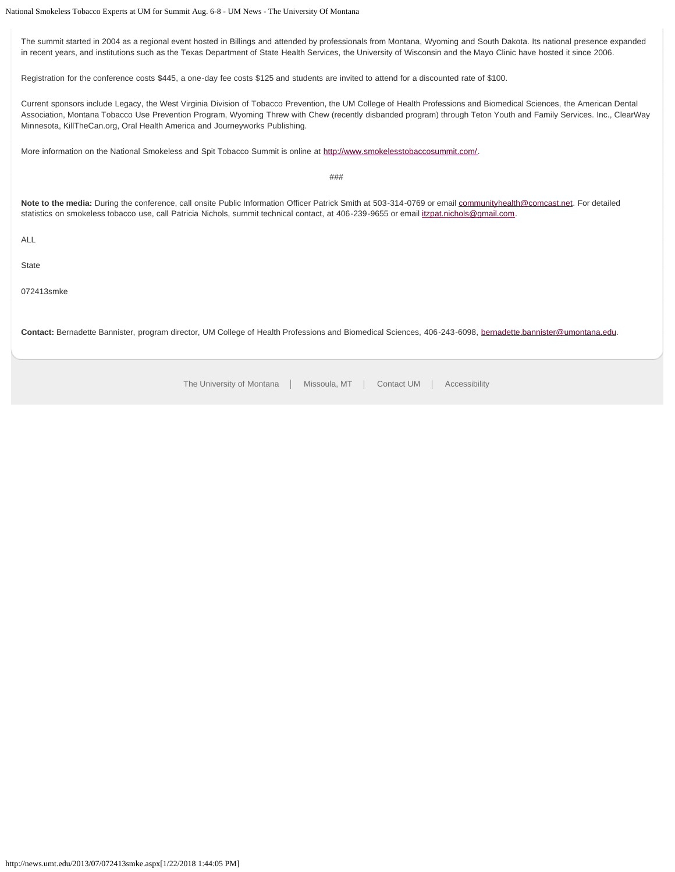The summit started in 2004 as a regional event hosted in Billings and attended by professionals from Montana, Wyoming and South Dakota. Its national presence expanded in recent years, and institutions such as the Texas Department of State Health Services, the University of Wisconsin and the Mayo Clinic have hosted it since 2006.

Registration for the conference costs \$445, a one-day fee costs \$125 and students are invited to attend for a discounted rate of \$100.

Current sponsors include Legacy, the West Virginia Division of Tobacco Prevention, the UM College of Health Professions and Biomedical Sciences, the American Dental Association, Montana Tobacco Use Prevention Program, Wyoming Threw with Chew (recently disbanded program) through Teton Youth and Family Services. Inc., ClearWay Minnesota, KillTheCan.org, Oral Health America and Journeyworks Publishing.

More information on the National Smokeless and Spit Tobacco Summit is online at [http://www.smokelesstobaccosummit.com/.](http://www.smokelesstobaccosummit.com/)

###

**Note to the media:** During the conference, call onsite Public Information Officer Patrick Smith at 503-314-0769 or email [communityhealth@comcast.net.](mailto:communityhealth@comcast.net) For detailed statistics on smokeless tobacco use, call Patricia Nichols, summit technical contact, at 406-239-9655 or email [itzpat.nichols@gmail.com](mailto:itzpat.nichols@gmail.com).

ALL

**State** 

072413smke

**Contact:** Bernadette Bannister, program director, UM College of Health Professions and Biomedical Sciences, 406-243-6098, [bernadette.bannister@umontana.edu.](mailto:bernadette.bannister@umontana.edu)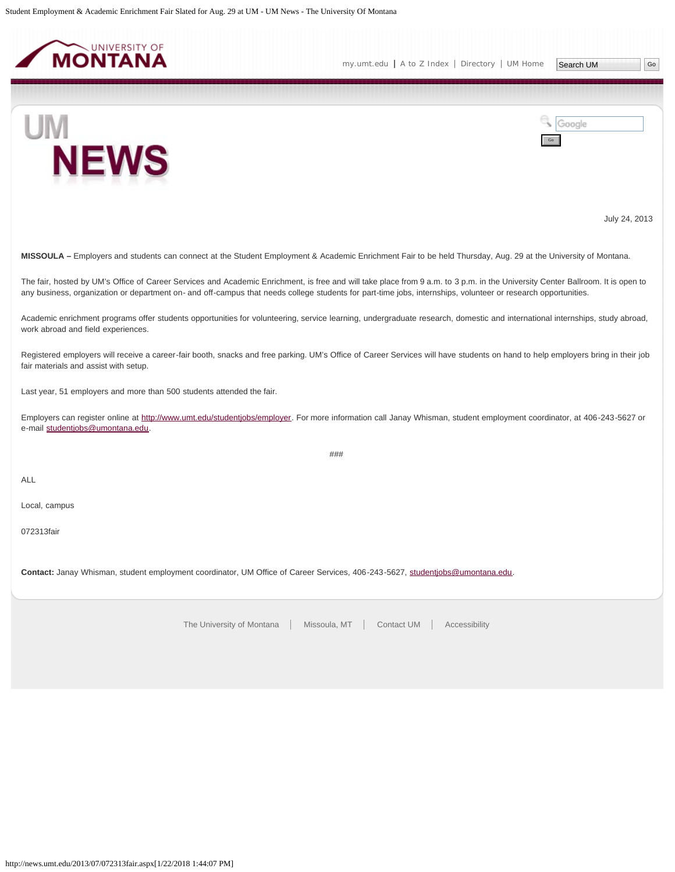<span id="page-15-0"></span>

Google



July 24, 2013

**MISSOULA –** Employers and students can connect at the Student Employment & Academic Enrichment Fair to be held Thursday, Aug. 29 at the University of Montana.

The fair, hosted by UM's Office of Career Services and Academic Enrichment, is free and will take place from 9 a.m. to 3 p.m. in the University Center Ballroom. It is open to any business, organization or department on- and off-campus that needs college students for part-time jobs, internships, volunteer or research opportunities.

Academic enrichment programs offer students opportunities for volunteering, service learning, undergraduate research, domestic and international internships, study abroad, work abroad and field experiences.

Registered employers will receive a career-fair booth, snacks and free parking. UM's Office of Career Services will have students on hand to help employers bring in their job fair materials and assist with setup.

Last year, 51 employers and more than 500 students attended the fair.

Employers can register online at<http://www.umt.edu/studentjobs/employer>. For more information call Janay Whisman, student employment coordinator, at 406-243-5627 or e-mail [studentjobs@umontana.edu](mailto:studentjobs@umontana.edu).

###

ALL

Local, campus

072313fair

**Contact:** Janay Whisman, student employment coordinator, UM Office of Career Services, 406-243-5627, [studentjobs@umontana.edu.](mailto:studentjobs@umontana.edu)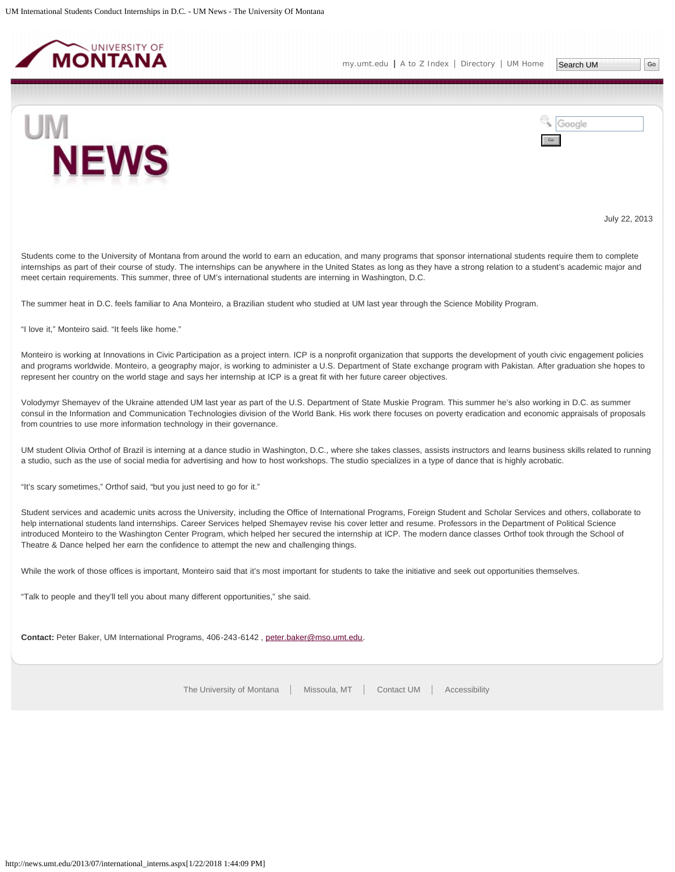<span id="page-16-0"></span>





July 22, 2013

Students come to the University of Montana from around the world to earn an education, and many programs that sponsor international students require them to complete internships as part of their course of study. The internships can be anywhere in the United States as long as they have a strong relation to a student's academic major and meet certain requirements. This summer, three of UM's international students are interning in Washington, D.C.

The summer heat in D.C. feels familiar to Ana Monteiro, a Brazilian student who studied at UM last year through the Science Mobility Program.

"I love it," Monteiro said. "It feels like home."

Monteiro is working at Innovations in Civic Participation as a project intern. ICP is a nonprofit organization that supports the development of youth civic engagement policies and programs worldwide. Monteiro, a geography major, is working to administer a U.S. Department of State exchange program with Pakistan. After graduation she hopes to represent her country on the world stage and says her internship at ICP is a great fit with her future career objectives.

Volodymyr Shemayev of the Ukraine attended UM last year as part of the U.S. Department of State Muskie Program. This summer he's also working in D.C. as summer consul in the Information and Communication Technologies division of the World Bank. His work there focuses on poverty eradication and economic appraisals of proposals from countries to use more information technology in their governance.

UM student Olivia Orthof of Brazil is interning at a dance studio in Washington, D.C., where she takes classes, assists instructors and learns business skills related to running a studio, such as the use of social media for advertising and how to host workshops. The studio specializes in a type of dance that is highly acrobatic.

"It's scary sometimes," Orthof said, "but you just need to go for it."

Student services and academic units across the University, including the Office of International Programs, Foreign Student and Scholar Services and others, collaborate to help international students land internships. Career Services helped Shemayev revise his cover letter and resume. Professors in the Department of Political Science introduced Monteiro to the Washington Center Program, which helped her secured the internship at ICP. The modern dance classes Orthof took through the School of Theatre & Dance helped her earn the confidence to attempt the new and challenging things.

While the work of those offices is important, Monteiro said that it's most important for students to take the initiative and seek out opportunities themselves.

"Talk to people and they'll tell you about many different opportunities," she said.

**Contact:** Peter Baker, UM International Programs, 406-243-6142 , [peter.baker@mso.umt.edu](mailto:peter.baker@mso.umt.edu).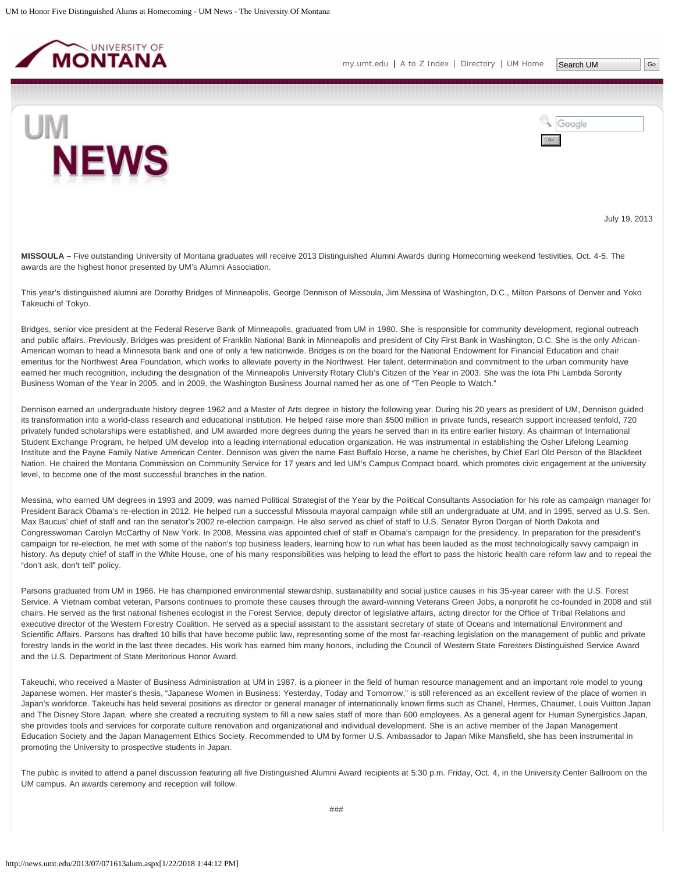<span id="page-17-0"></span>

Google



July 19, 2013

**MISSOULA –** Five outstanding University of Montana graduates will receive 2013 Distinguished Alumni Awards during Homecoming weekend festivities, Oct. 4-5. The awards are the highest honor presented by UM's Alumni Association.

This year's distinguished alumni are Dorothy Bridges of Minneapolis, George Dennison of Missoula, Jim Messina of Washington, D.C., Milton Parsons of Denver and Yoko Takeuchi of Tokyo.

Bridges, senior vice president at the Federal Reserve Bank of Minneapolis, graduated from UM in 1980. She is responsible for community development, regional outreach and public affairs. Previously, Bridges was president of Franklin National Bank in Minneapolis and president of City First Bank in Washington, D.C. She is the only African-American woman to head a Minnesota bank and one of only a few nationwide. Bridges is on the board for the National Endowment for Financial Education and chair emeritus for the Northwest Area Foundation, which works to alleviate poverty in the Northwest. Her talent, determination and commitment to the urban community have earned her much recognition, including the designation of the Minneapolis University Rotary Club's Citizen of the Year in 2003. She was the lota Phi Lambda Sorority Business Woman of the Year in 2005, and in 2009, the Washington Business Journal named her as one of "Ten People to Watch."

Dennison earned an undergraduate history degree 1962 and a Master of Arts degree in history the following year. During his 20 years as president of UM, Dennison guided its transformation into a world-class research and educational institution. He helped raise more than \$500 million in private funds, research support increased tenfold, 720 privately funded scholarships were established, and UM awarded more degrees during the years he served than in its entire earlier history. As chairman of International Student Exchange Program, he helped UM develop into a leading international education organization. He was instrumental in establishing the Osher Lifelong Learning Institute and the Payne Family Native American Center. Dennison was given the name Fast Buffalo Horse, a name he cherishes, by Chief Earl Old Person of the Blackfeet Nation. He chaired the Montana Commission on Community Service for 17 years and led UM's Campus Compact board, which promotes civic engagement at the university level, to become one of the most successful branches in the nation.

Messina, who earned UM degrees in 1993 and 2009, was named Political Strategist of the Year by the Political Consultants Association for his role as campaign manager for President Barack Obama's re-election in 2012. He helped run a successful Missoula mayoral campaign while still an undergraduate at UM, and in 1995, served as U.S. Sen. Max Baucus' chief of staff and ran the senator's 2002 re-election campaign. He also served as chief of staff to U.S. Senator Byron Dorgan of North Dakota and Congresswoman Carolyn McCarthy of New York. In 2008, Messina was appointed chief of staff in Obama's campaign for the presidency. In preparation for the president's campaign for re-election, he met with some of the nation's top business leaders, learning how to run what has been lauded as the most technologically savvy campaign in history. As deputy chief of staff in the White House, one of his many responsibilities was helping to lead the effort to pass the historic health care reform law and to repeal the "don't ask, don't tell" policy.

Parsons graduated from UM in 1966. He has championed environmental stewardship, sustainability and social justice causes in his 35-year career with the U.S. Forest Service. A Vietnam combat veteran, Parsons continues to promote these causes through the award-winning Veterans Green Jobs, a nonprofit he co-founded in 2008 and still chairs. He served as the first national fisheries ecologist in the Forest Service, deputy director of legislative affairs, acting director for the Office of Tribal Relations and executive director of the Western Forestry Coalition. He served as a special assistant to the assistant secretary of state of Oceans and International Environment and Scientific Affairs. Parsons has drafted 10 bills that have become public law, representing some of the most far-reaching legislation on the management of public and private forestry lands in the world in the last three decades. His work has earned him many honors, including the Council of Western State Foresters Distinguished Service Award and the U.S. Department of State Meritorious Honor Award.

Takeuchi, who received a Master of Business Administration at UM in 1987, is a pioneer in the field of human resource management and an important role model to young Japanese women. Her master's thesis, "Japanese Women in Business: Yesterday, Today and Tomorrow," is still referenced as an excellent review of the place of women in Japan's workforce. Takeuchi has held several positions as director or general manager of internationally known firms such as Chanel, Hermes, Chaumet, Louis Vuitton Japan and The Disney Store Japan, where she created a recruiting system to fill a new sales staff of more than 600 employees. As a general agent for Human Synergistics Japan, she provides tools and services for corporate culture renovation and organizational and individual development. She is an active member of the Japan Management Education Society and the Japan Management Ethics Society. Recommended to UM by former U.S. Ambassador to Japan Mike Mansfield, she has been instrumental in promoting the University to prospective students in Japan.

The public is invited to attend a panel discussion featuring all five Distinguished Alumni Award recipients at 5:30 p.m. Friday, Oct. 4, in the University Center Ballroom on the UM campus. An awards ceremony and reception will follow.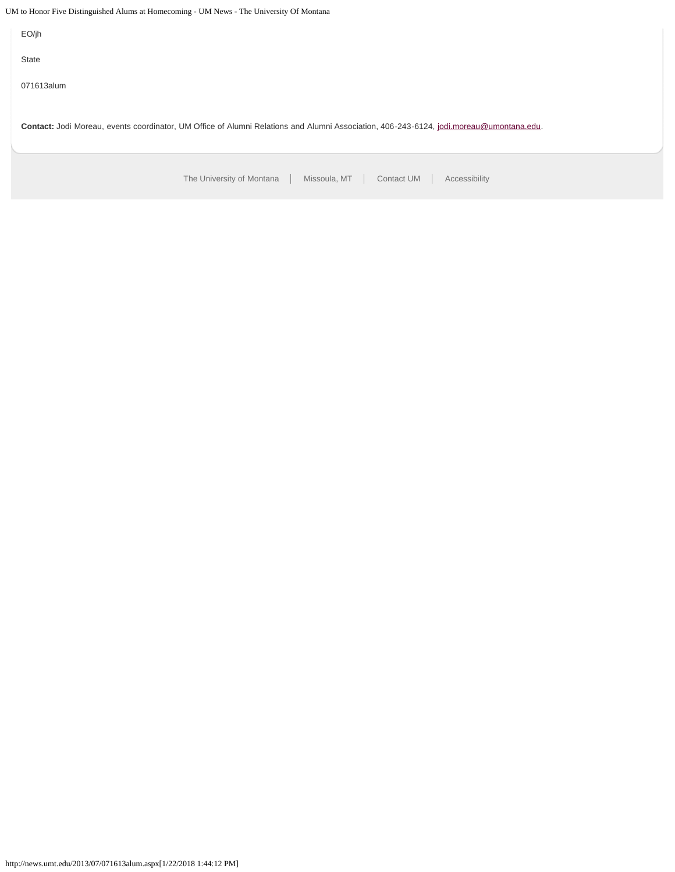UM to Honor Five Distinguished Alums at Homecoming - UM News - The University Of Montana

EO/jh

State

071613alum

Contact: Jodi Moreau, events coordinator, UM Office of Alumni Relations and Alumni Association, 406-243-6124, [jodi.moreau@umontana.edu.](mailto:jodi.moreau@umontana.edu)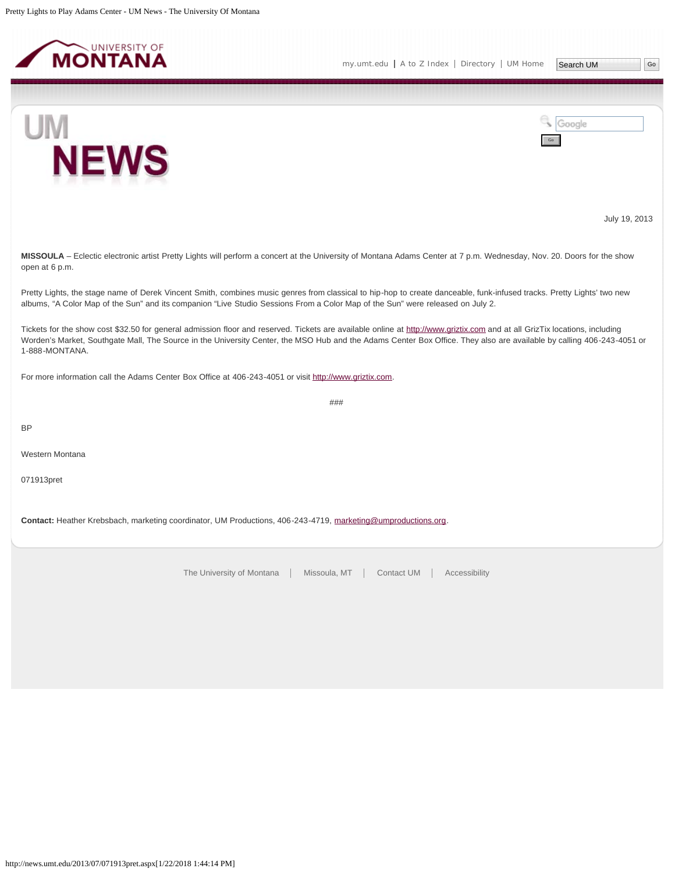<span id="page-19-0"></span>

Search UM | Go

Go

Google



UM **NEWS** 

July 19, 2013

**MISSOULA** – Eclectic electronic artist Pretty Lights will perform a concert at the University of Montana Adams Center at 7 p.m. Wednesday, Nov. 20. Doors for the show open at 6 p.m.

Pretty Lights, the stage name of Derek Vincent Smith, combines music genres from classical to hip-hop to create danceable, funk-infused tracks. Pretty Lights' two new albums, "A Color Map of the Sun" and its companion "Live Studio Sessions From a Color Map of the Sun" were released on July 2.

Tickets for the show cost \$32.50 for general admission floor and reserved. Tickets are available online at [http://www.griztix.com](http://www.griztix.com/) and at all GrizTix locations, including Worden's Market, Southgate Mall, The Source in the University Center, the MSO Hub and the Adams Center Box Office. They also are available by calling 406-243-4051 or 1-888-MONTANA.

###

For more information call the Adams Center Box Office at 406-243-4051 or visit [http://www.griztix.com.](http://www.griztix.com/)

BP

Western Montana

071913pret

**Contact:** Heather Krebsbach, marketing coordinator, UM Productions, 406-243-4719, [marketing@umproductions.org](mailto:marketing@umproductions.org).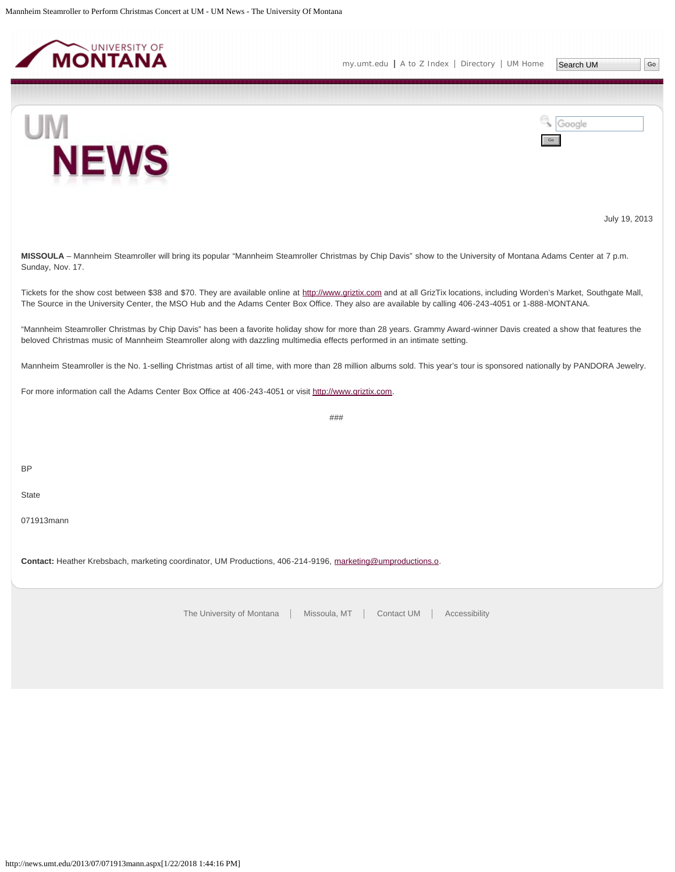<span id="page-20-0"></span>

UM



July 19, 2013

**MISSOULA** – Mannheim Steamroller will bring its popular "Mannheim Steamroller Christmas by Chip Davis" show to the University of Montana Adams Center at 7 p.m. Sunday, Nov. 17.

Tickets for the show cost between \$38 and \$70. They are available online at [http://www.griztix.com](http://www.griztix.com/) and at all GrizTix locations, including Worden's Market, Southgate Mall, The Source in the University Center, the MSO Hub and the Adams Center Box Office. They also are available by calling 406-243-4051 or 1-888-MONTANA.

"Mannheim Steamroller Christmas by Chip Davis" has been a favorite holiday show for more than 28 years. Grammy Award-winner Davis created a show that features the beloved Christmas music of Mannheim Steamroller along with dazzling multimedia effects performed in an intimate setting.

Mannheim Steamroller is the No. 1-selling Christmas artist of all time, with more than 28 million albums sold. This year's tour is sponsored nationally by PANDORA Jewelry.

For more information call the Adams Center Box Office at 406-243-4051 or visit [http://www.griztix.com.](http://www.griztix.com/)

###

BP

**State** 

071913mann

**Contact:** Heather Krebsbach, marketing coordinator, UM Productions, 406-214-9196, [marketing@umproductions.o](mailto:marketing@umproductions.o).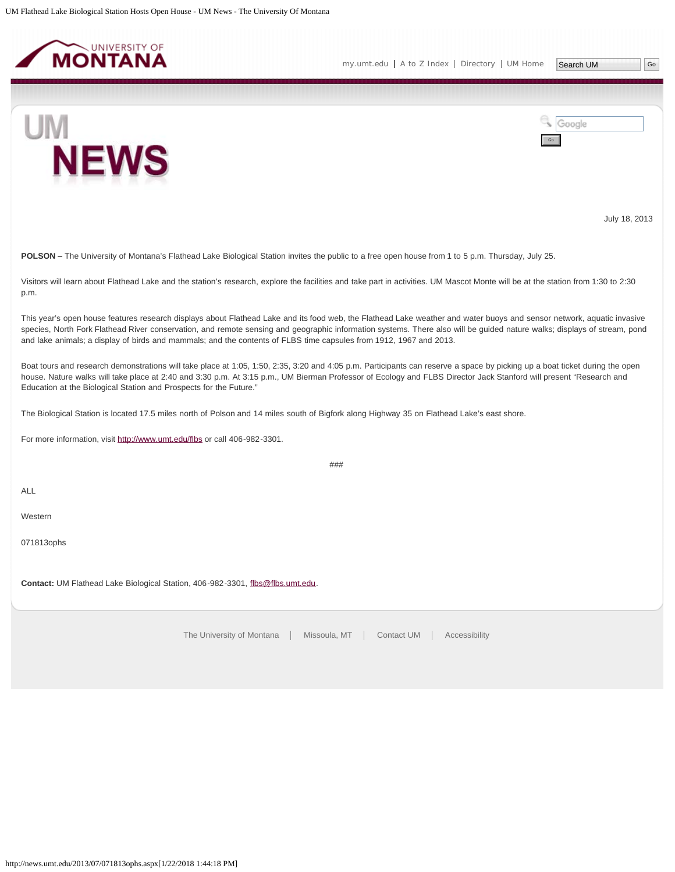<span id="page-21-0"></span>

Google





July 18, 2013

**POLSON** – The University of Montana's Flathead Lake Biological Station invites the public to a free open house from 1 to 5 p.m. Thursday, July 25.

Visitors will learn about Flathead Lake and the station's research, explore the facilities and take part in activities. UM Mascot Monte will be at the station from 1:30 to 2:30 p.m.

This year's open house features research displays about Flathead Lake and its food web, the Flathead Lake weather and water buoys and sensor network, aquatic invasive species, North Fork Flathead River conservation, and remote sensing and geographic information systems. There also will be quided nature walks; displays of stream, pond and lake animals; a display of birds and mammals; and the contents of FLBS time capsules from 1912, 1967 and 2013.

Boat tours and research demonstrations will take place at 1:05, 1:50, 2:35, 3:20 and 4:05 p.m. Participants can reserve a space by picking up a boat ticket during the open house. Nature walks will take place at 2:40 and 3:30 p.m. At 3:15 p.m., UM Bierman Professor of Ecology and FLBS Director Jack Stanford will present "Research and Education at the Biological Station and Prospects for the Future."

###

The Biological Station is located 17.5 miles north of Polson and 14 miles south of Bigfork along Highway 35 on Flathead Lake's east shore.

For more information, visit <http://www.umt.edu/flbs>or call 406-982-3301.

ALL

Western

071813ophs

**Contact:** UM Flathead Lake Biological Station, 406-982-3301, [flbs@flbs.umt.edu.](mailto:flbs@flbs.umt.edu)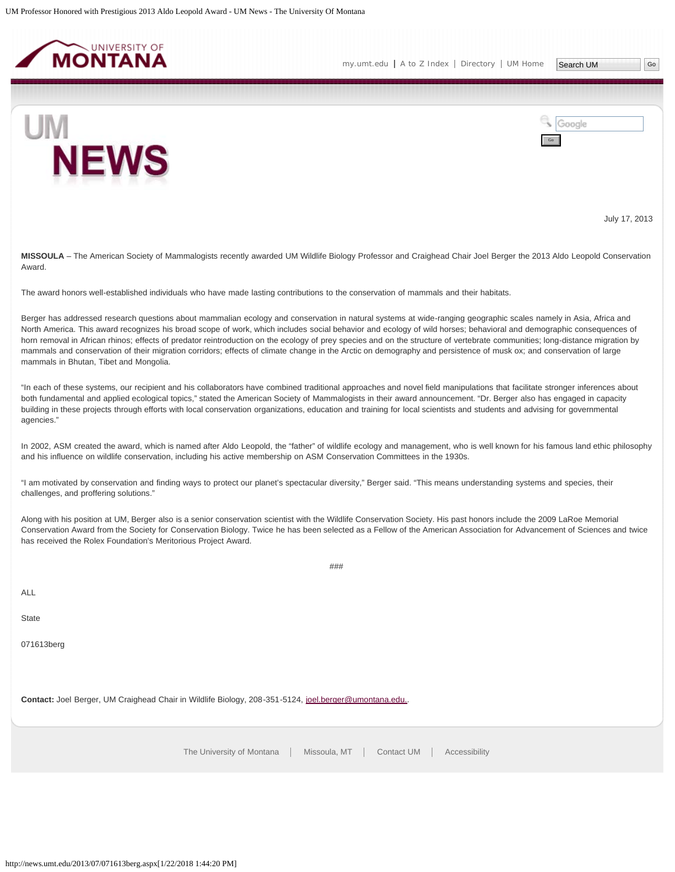<span id="page-22-0"></span>

Google



July 17, 2013

**MISSOULA** – The American Society of Mammalogists recently awarded UM Wildlife Biology Professor and Craighead Chair Joel Berger the 2013 Aldo Leopold Conservation Award.

The award honors well-established individuals who have made lasting contributions to the conservation of mammals and their habitats.

Berger has addressed research questions about mammalian ecology and conservation in natural systems at wide-ranging geographic scales namely in Asia, Africa and North America. This award recognizes his broad scope of work, which includes social behavior and ecology of wild horses; behavioral and demographic consequences of horn removal in African rhinos; effects of predator reintroduction on the ecology of prey species and on the structure of vertebrate communities; long-distance migration by mammals and conservation of their migration corridors; effects of climate change in the Arctic on demography and persistence of musk ox; and conservation of large mammals in Bhutan, Tibet and Mongolia.

"In each of these systems, our recipient and his collaborators have combined traditional approaches and novel field manipulations that facilitate stronger inferences about both fundamental and applied ecological topics," stated the American Society of Mammalogists in their award announcement. "Dr. Berger also has engaged in capacity building in these projects through efforts with local conservation organizations, education and training for local scientists and students and advising for governmental agencies."

In 2002, ASM created the award, which is named after Aldo Leopold, the "father" of wildlife ecology and management, who is well known for his famous land ethic philosophy and his influence on wildlife conservation, including his active membership on ASM Conservation Committees in the 1930s.

"I am motivated by conservation and finding ways to protect our planet's spectacular diversity," Berger said. "This means understanding systems and species, their challenges, and proffering solutions."

Along with his position at UM, Berger also is a senior conservation scientist with the Wildlife Conservation Society. His past honors include the 2009 LaRoe Memorial Conservation Award from the Society for Conservation Biology. Twice he has been selected as a Fellow of the American Association for Advancement of Sciences and twice has received the Rolex Foundation's Meritorious Project Award.

###

ALL

**State** 

071613berg

**Contact:** Joel Berger, UM Craighead Chair in Wildlife Biology, 208-351-5124, [joel.berger@umontana.edu..](mailto:joel.berger@umontana.edu.)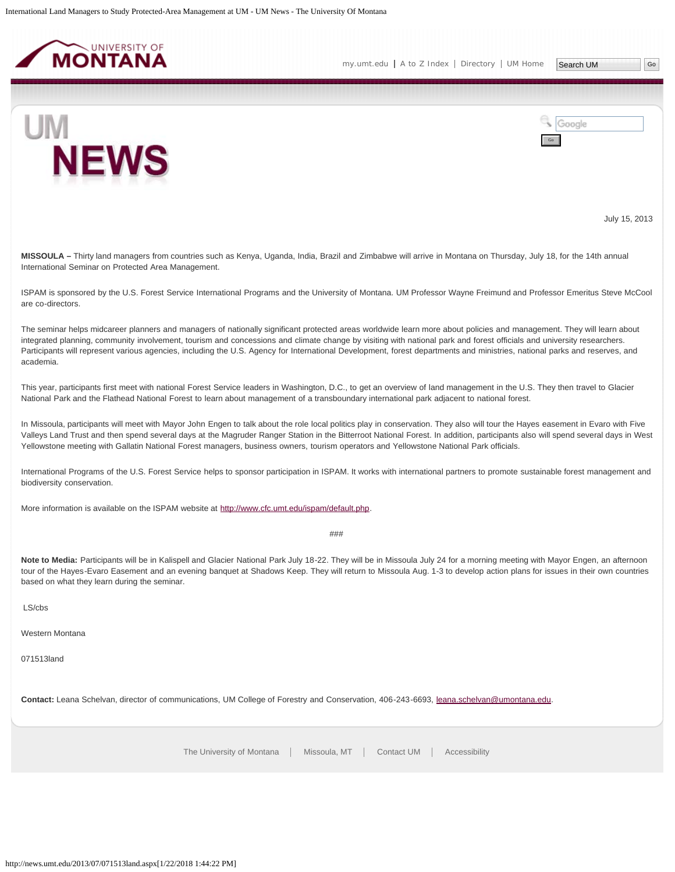<span id="page-23-0"></span>

UM



July 15, 2013

**MISSOULA –** Thirty land managers from countries such as Kenya, Uganda, India, Brazil and Zimbabwe will arrive in Montana on Thursday, July 18, for the 14th annual International Seminar on Protected Area Management.

ISPAM is sponsored by the U.S. Forest Service International Programs and the University of Montana. UM Professor Wayne Freimund and Professor Emeritus Steve McCool are co-directors.

The seminar helps midcareer planners and managers of nationally significant protected areas worldwide learn more about policies and management. They will learn about integrated planning, community involvement, tourism and concessions and climate change by visiting with national park and forest officials and university researchers. Participants will represent various agencies, including the U.S. Agency for International Development, forest departments and ministries, national parks and reserves, and academia.

This year, participants first meet with national Forest Service leaders in Washington, D.C., to get an overview of land management in the U.S. They then travel to Glacier National Park and the Flathead National Forest to learn about management of a transboundary international park adjacent to national forest.

In Missoula, participants will meet with Mayor John Engen to talk about the role local politics play in conservation. They also will tour the Hayes easement in Evaro with Five Valleys Land Trust and then spend several days at the Magruder Ranger Station in the Bitterroot National Forest. In addition, participants also will spend several days in West Yellowstone meeting with Gallatin National Forest managers, business owners, tourism operators and Yellowstone National Park officials.

International Programs of the U.S. Forest Service helps to sponsor participation in ISPAM. It works with international partners to promote sustainable forest management and biodiversity conservation.

More information is available on the ISPAM website at [http://www.cfc.umt.edu/ispam/default.php.](http://www.cfc.umt.edu/ispam/default.php)

###

Note to Media: Participants will be in Kalispell and Glacier National Park July 18-22. They will be in Missoula July 24 for a morning meeting with Mayor Engen, an afternoon tour of the Hayes-Evaro Easement and an evening banquet at Shadows Keep. They will return to Missoula Aug. 1-3 to develop action plans for issues in their own countries based on what they learn during the seminar.

LS/cbs

Western Montana

071513land

**Contact:** Leana Schelvan, director of communications, UM College of Forestry and Conservation, 406-243-6693, [leana.schelvan@umontana.edu](mailto:leana.schelvan@umontana.edu).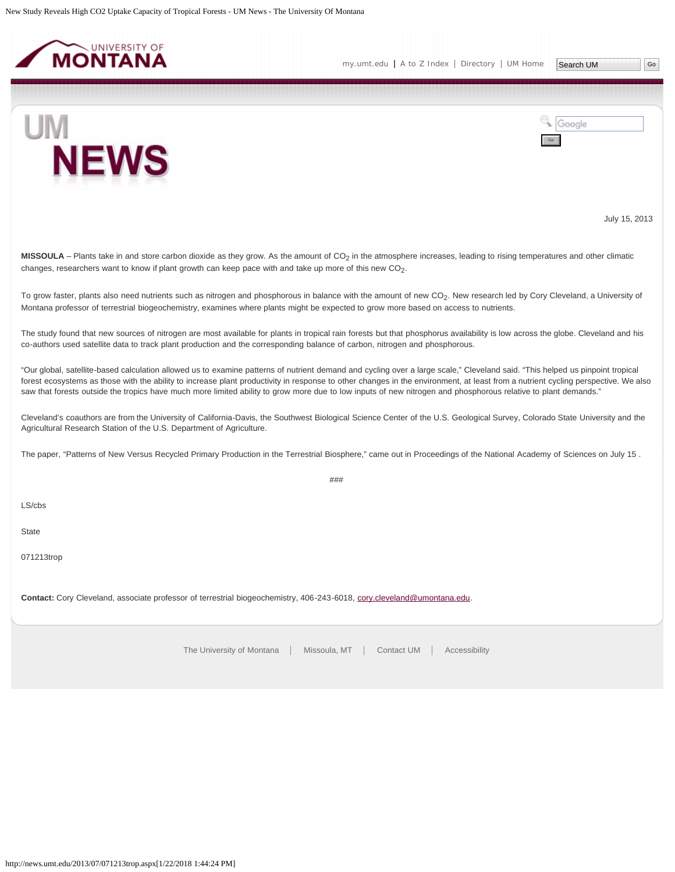<span id="page-24-0"></span>

Google



July 15, 2013

**MISSOULA** – Plants take in and store carbon dioxide as they grow. As the amount of  $CO<sub>2</sub>$  in the atmosphere increases, leading to rising temperatures and other climatic changes, researchers want to know if plant growth can keep pace with and take up more of this new  $CO<sub>2</sub>$ .

To grow faster, plants also need nutrients such as nitrogen and phosphorous in balance with the amount of new CO<sub>2</sub>. New research led by Cory Cleveland, a University of Montana professor of terrestrial biogeochemistry, examines where plants might be expected to grow more based on access to nutrients.

The study found that new sources of nitrogen are most available for plants in tropical rain forests but that phosphorus availability is low across the globe. Cleveland and his co-authors used satellite data to track plant production and the corresponding balance of carbon, nitrogen and phosphorous.

"Our global, satellite-based calculation allowed us to examine patterns of nutrient demand and cycling over a large scale," Cleveland said. "This helped us pinpoint tropical forest ecosystems as those with the ability to increase plant productivity in response to other changes in the environment, at least from a nutrient cycling perspective. We also saw that forests outside the tropics have much more limited ability to grow more due to low inputs of new nitrogen and phosphorous relative to plant demands."

Cleveland's coauthors are from the University of California-Davis, the Southwest Biological Science Center of the U.S. Geological Survey, Colorado State University and the Agricultural Research Station of the U.S. Department of Agriculture.

The paper, "Patterns of New Versus Recycled Primary Production in the Terrestrial Biosphere," came out in Proceedings of the National Academy of Sciences on July 15 .

###

LS/cbs

State

071213trop

**Contact:** Cory Cleveland, associate professor of terrestrial biogeochemistry, 406-243-6018, [cory.cleveland@umontana.edu](mailto:cory.cleveland@umontana.edu).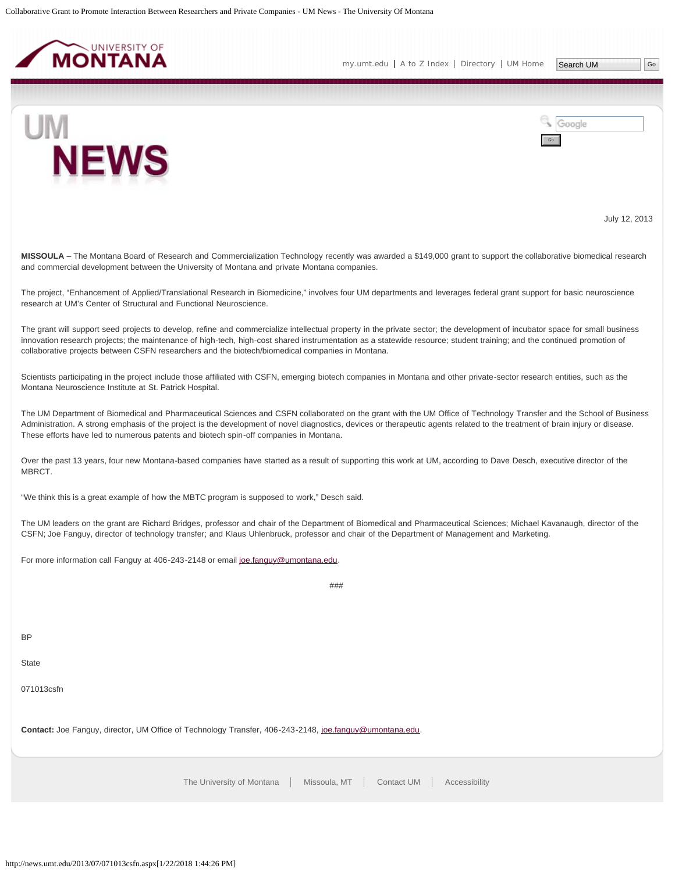<span id="page-25-0"></span>



Google



July 12, 2013

**MISSOULA** – The Montana Board of Research and Commercialization Technology recently was awarded a \$149,000 grant to support the collaborative biomedical research and commercial development between the University of Montana and private Montana companies.

The project, "Enhancement of Applied/Translational Research in Biomedicine," involves four UM departments and leverages federal grant support for basic neuroscience research at UM's Center of Structural and Functional Neuroscience.

The grant will support seed projects to develop, refine and commercialize intellectual property in the private sector; the development of incubator space for small business innovation research projects; the maintenance of high-tech, high-cost shared instrumentation as a statewide resource; student training; and the continued promotion of collaborative projects between CSFN researchers and the biotech/biomedical companies in Montana.

Scientists participating in the project include those affiliated with CSFN, emerging biotech companies in Montana and other private-sector research entities, such as the Montana Neuroscience Institute at St. Patrick Hospital.

The UM Department of Biomedical and Pharmaceutical Sciences and CSFN collaborated on the grant with the UM Office of Technology Transfer and the School of Business Administration. A strong emphasis of the project is the development of novel diagnostics, devices or therapeutic agents related to the treatment of brain injury or disease. These efforts have led to numerous patents and biotech spin-off companies in Montana.

Over the past 13 years, four new Montana-based companies have started as a result of supporting this work at UM, according to Dave Desch, executive director of the MBRCT.

"We think this is a great example of how the MBTC program is supposed to work," Desch said.

The UM leaders on the grant are Richard Bridges, professor and chair of the Department of Biomedical and Pharmaceutical Sciences; Michael Kavanaugh, director of the CSFN; Joe Fanguy, director of technology transfer; and Klaus Uhlenbruck, professor and chair of the Department of Management and Marketing.

 $###$ 

For more information call Fanguy at 406-243-2148 or email [joe.fanguy@umontana.edu](mailto:joe.fanguy@umontana.edu).

**BP** 

**State** 

071013csfn

Contact: Joe Fanguy, director, UM Office of Technology Transfer, 406-243-2148, [joe.fanguy@umontana.edu](mailto:joe.fanguy@umontana.edu).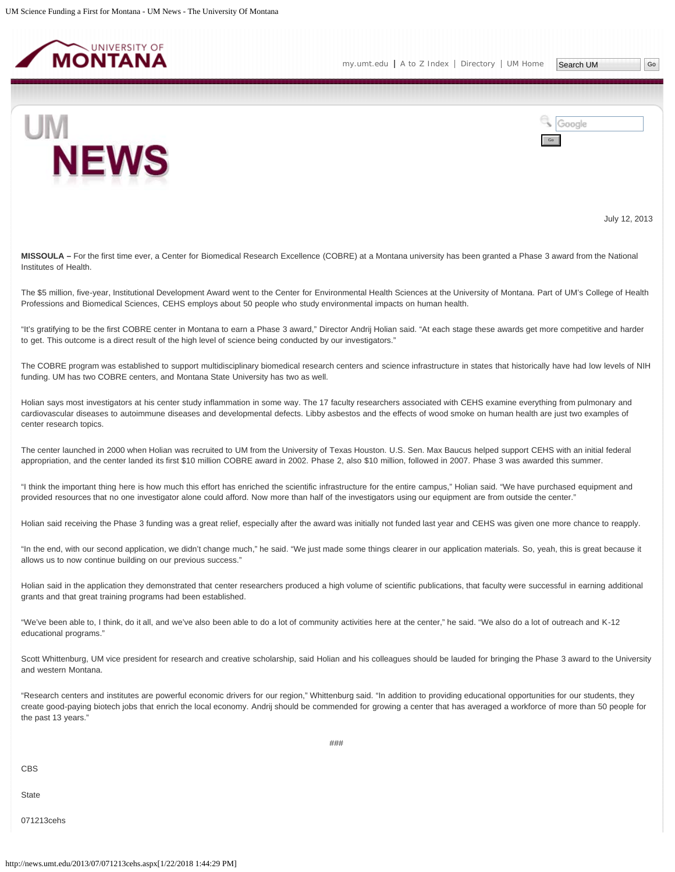<span id="page-26-0"></span>

Google



July 12, 2013

**MISSOULA –** For the first time ever, a Center for Biomedical Research Excellence (COBRE) at a Montana university has been granted a Phase 3 award from the National Institutes of Health.

The \$5 million, five-year, Institutional Development Award went to the Center for Environmental Health Sciences at the University of Montana. Part of UM's College of Health Professions and Biomedical Sciences, CEHS employs about 50 people who study environmental impacts on human health.

"It's gratifying to be the first COBRE center in Montana to earn a Phase 3 award," Director Andrij Holian said. "At each stage these awards get more competitive and harder to get. This outcome is a direct result of the high level of science being conducted by our investigators."

The COBRE program was established to support multidisciplinary biomedical research centers and science infrastructure in states that historically have had low levels of NIH funding. UM has two COBRE centers, and Montana State University has two as well.

Holian says most investigators at his center study inflammation in some way. The 17 faculty researchers associated with CEHS examine everything from pulmonary and cardiovascular diseases to autoimmune diseases and developmental defects. Libby asbestos and the effects of wood smoke on human health are just two examples of center research topics.

The center launched in 2000 when Holian was recruited to UM from the University of Texas Houston. U.S. Sen. Max Baucus helped support CEHS with an initial federal appropriation, and the center landed its first \$10 million COBRE award in 2002. Phase 2, also \$10 million, followed in 2007. Phase 3 was awarded this summer.

"I think the important thing here is how much this effort has enriched the scientific infrastructure for the entire campus," Holian said. "We have purchased equipment and provided resources that no one investigator alone could afford. Now more than half of the investigators using our equipment are from outside the center."

Holian said receiving the Phase 3 funding was a great relief, especially after the award was initially not funded last year and CEHS was given one more chance to reapply.

"In the end, with our second application, we didn't change much," he said. "We just made some things clearer in our application materials. So, yeah, this is great because it allows us to now continue building on our previous success."

Holian said in the application they demonstrated that center researchers produced a high volume of scientific publications, that faculty were successful in earning additional grants and that great training programs had been established.

"We've been able to, I think, do it all, and we've also been able to do a lot of community activities here at the center," he said. "We also do a lot of outreach and K-12 educational programs."

Scott Whittenburg, UM vice president for research and creative scholarship, said Holian and his colleagues should be lauded for bringing the Phase 3 award to the University and western Montana.

"Research centers and institutes are powerful economic drivers for our region," Whittenburg said. "In addition to providing educational opportunities for our students, they create good-paying biotech jobs that enrich the local economy. Andrij should be commended for growing a center that has averaged a workforce of more than 50 people for the past 13 years."

CBS

**State** 

071213cehs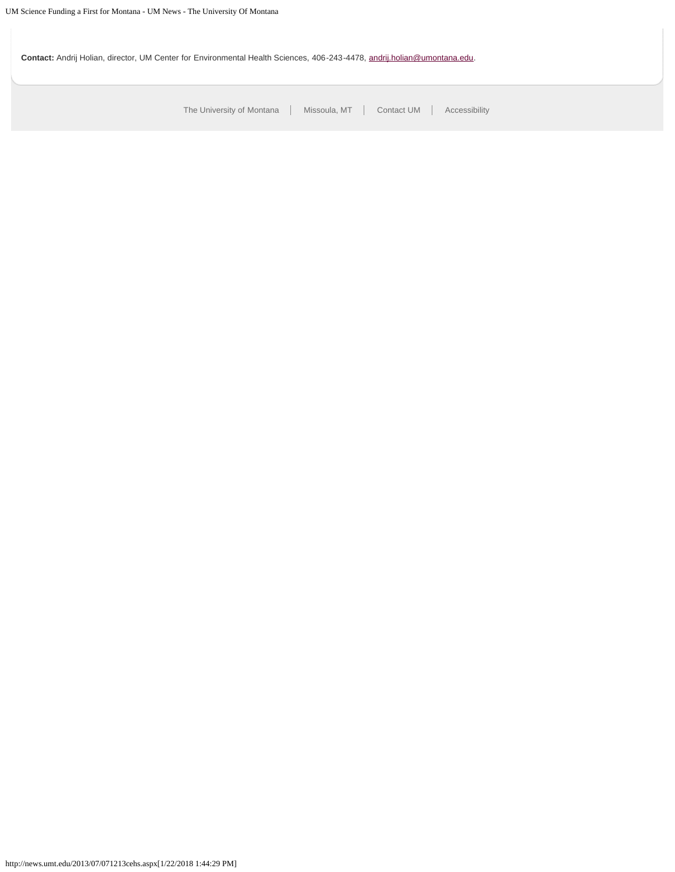**Contact:** Andrij Holian, director, UM Center for Environmental Health Sciences, 406-243-4478, [andrij.holian@umontana.edu.](mailto:andrij.holian@umontana.edu)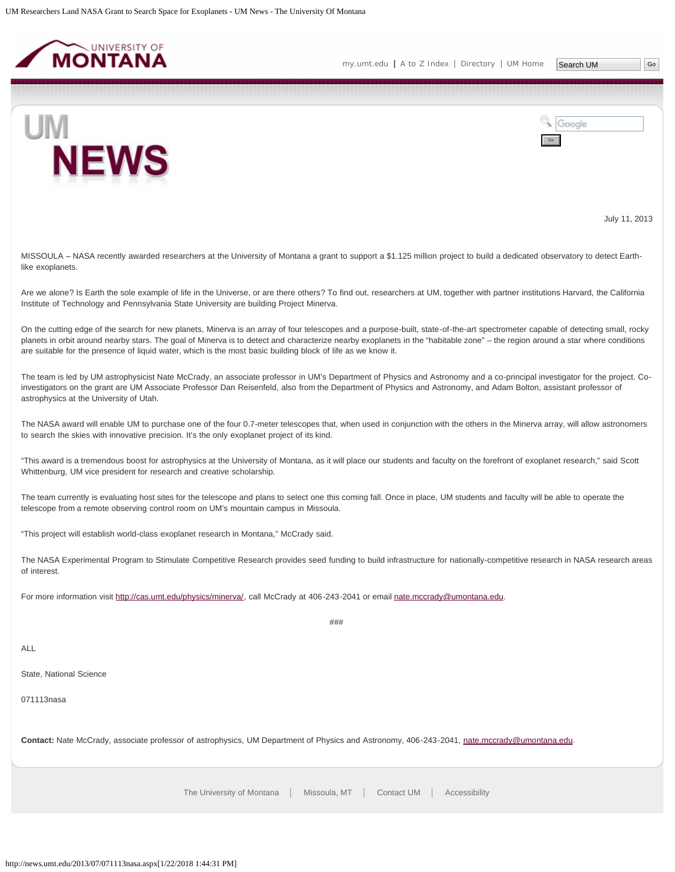<span id="page-28-0"></span>

Google



July 11, 2013

MISSOULA – NASA recently awarded researchers at the University of Montana a grant to support a \$1.125 million project to build a dedicated observatory to detect Earthlike exoplanets.

Are we alone? Is Earth the sole example of life in the Universe, or are there others? To find out, researchers at UM, together with partner institutions Harvard, the California Institute of Technology and Pennsylvania State University are building Project Minerva.

On the cutting edge of the search for new planets, Minerva is an array of four telescopes and a purpose-built, state-of-the-art spectrometer capable of detecting small, rocky planets in orbit around nearby stars. The goal of Minerva is to detect and characterize nearby exoplanets in the "habitable zone" – the region around a star where conditions are suitable for the presence of liquid water, which is the most basic building block of life as we know it.

The team is led by UM astrophysicist Nate McCrady, an associate professor in UM's Department of Physics and Astronomy and a co-principal investigator for the project. Coinvestigators on the grant are UM Associate Professor Dan Reisenfeld, also from the Department of Physics and Astronomy, and Adam Bolton, assistant professor of astrophysics at the University of Utah.

The NASA award will enable UM to purchase one of the four 0.7-meter telescopes that, when used in conjunction with the others in the Minerva array, will allow astronomers to search the skies with innovative precision. It's the only exoplanet project of its kind.

"This award is a tremendous boost for astrophysics at the University of Montana, as it will place our students and faculty on the forefront of exoplanet research," said Scott Whittenburg, UM vice president for research and creative scholarship.

The team currently is evaluating host sites for the telescope and plans to select one this coming fall. Once in place, UM students and faculty will be able to operate the telescope from a remote observing control room on UM's mountain campus in Missoula.

"This project will establish world-class exoplanet research in Montana," McCrady said.

The NASA Experimental Program to Stimulate Competitive Research provides seed funding to build infrastructure for nationally-competitive research in NASA research areas of interest.

For more information visit [http://cas.umt.edu/physics/minerva/,](http://cas.umt.edu/physics/minerva/) call McCrady at 406-243-2041 or email [nate.mccrady@umontana.edu.](mailto:nate.mccrady@umontana.edu)

###

ALL

State, National Science

071113nasa

Contact: Nate McCrady, associate professor of astrophysics, UM Department of Physics and Astronomy, 406-243-2041, [nate.mccrady@umontana.edu.](mailto:nate.mccrady@umontana.edu)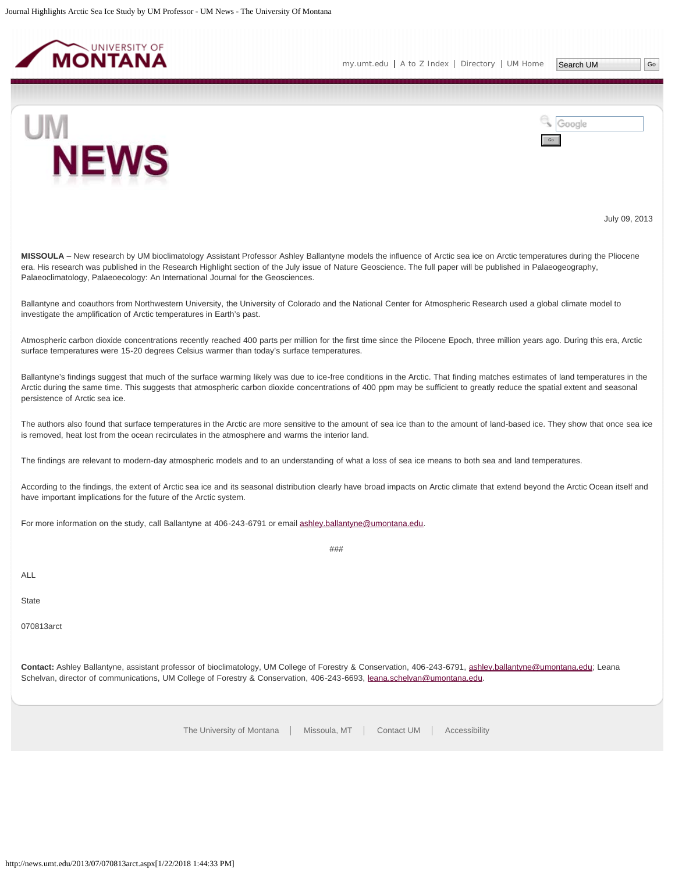<span id="page-29-0"></span>





July 09, 2013

**MISSOULA** – New research by UM bioclimatology Assistant Professor Ashley Ballantyne models the influence of Arctic sea ice on Arctic temperatures during the Pliocene era. His research was published in the Research Highlight section of the July issue of Nature Geoscience. The full paper will be published in Palaeogeography, Palaeoclimatology, Palaeoecology: An International Journal for the Geosciences.

Ballantyne and coauthors from Northwestern University, the University of Colorado and the National Center for Atmospheric Research used a global climate model to investigate the amplification of Arctic temperatures in Earth's past.

Atmospheric carbon dioxide concentrations recently reached 400 parts per million for the first time since the Pilocene Epoch, three million years ago. During this era, Arctic surface temperatures were 15-20 degrees Celsius warmer than today's surface temperatures.

Ballantyne's findings suggest that much of the surface warming likely was due to ice-free conditions in the Arctic. That finding matches estimates of land temperatures in the Arctic during the same time. This suggests that atmospheric carbon dioxide concentrations of 400 ppm may be sufficient to greatly reduce the spatial extent and seasonal persistence of Arctic sea ice.

The authors also found that surface temperatures in the Arctic are more sensitive to the amount of sea ice than to the amount of land-based ice. They show that once sea ice is removed, heat lost from the ocean recirculates in the atmosphere and warms the interior land.

The findings are relevant to modern-day atmospheric models and to an understanding of what a loss of sea ice means to both sea and land temperatures.

According to the findings, the extent of Arctic sea ice and its seasonal distribution clearly have broad impacts on Arctic climate that extend beyond the Arctic Ocean itself and have important implications for the future of the Arctic system.

###

For more information on the study, call Ballantyne at 406-243-6791 or email [ashley.ballantyne@umontana.edu](mailto:ashley.ballantyne@umontana.edu).

ALL

**State** 

070813arct

**Contact:** Ashley Ballantyne, assistant professor of bioclimatology, UM College of Forestry & Conservation, 406-243-6791, [ashley.ballantyne@umontana.edu](mailto:ashley.ballantyne@umontana.edu); Leana Schelvan, director of communications, UM College of Forestry & Conservation, 406-243-6693, [leana.schelvan@umontana.edu.](mailto:leana.schelvan@umontana.edu)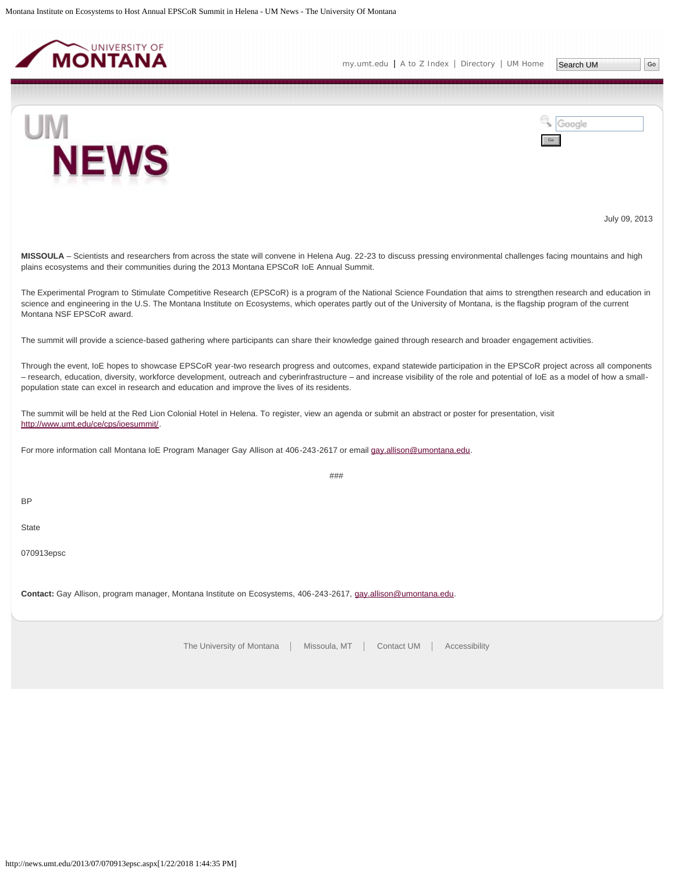<span id="page-30-0"></span>

[my.umt.edu](http://my.umt.edu/) | [A to Z Index](http://www.umt.edu/search/atoz/) | [Directory](http://www.umt.edu/directory/) | [UM Home](http://www.umt.edu/)

Search UM

Go

Google



July 09, 2013

**MISSOULA** – Scientists and researchers from across the state will convene in Helena Aug. 22-23 to discuss pressing environmental challenges facing mountains and high plains ecosystems and their communities during the 2013 Montana EPSCoR IoE Annual Summit.

The Experimental Program to Stimulate Competitive Research (EPSCoR) is a program of the National Science Foundation that aims to strengthen research and education in science and engineering in the U.S. The Montana Institute on Ecosystems, which operates partly out of the University of Montana, is the flagship program of the current Montana NSF EPSCoR award.

The summit will provide a science-based gathering where participants can share their knowledge gained through research and broader engagement activities.

Through the event, IoE hopes to showcase EPSCoR year-two research progress and outcomes, expand statewide participation in the EPSCoR project across all components – research, education, diversity, workforce development, outreach and cyberinfrastructure – and increase visibility of the role and potential of IoE as a model of how a smallpopulation state can excel in research and education and improve the lives of its residents.

###

The summit will be held at the Red Lion Colonial Hotel in Helena. To register, view an agenda or submit an abstract or poster for presentation, visit <http://www.umt.edu/ce/cps/ioesummit/>.

For more information call Montana IoE Program Manager Gay Allison at 406-243-2617 or email [gay.allison@umontana.edu.](mailto:gay.allison@umontana.edu)

BP

**State** 

070913epsc

**Contact:** Gay Allison, program manager, Montana Institute on Ecosystems, 406-243-2617, [gay.allison@umontana.edu.](mailto:gay.allison@umontana.edu)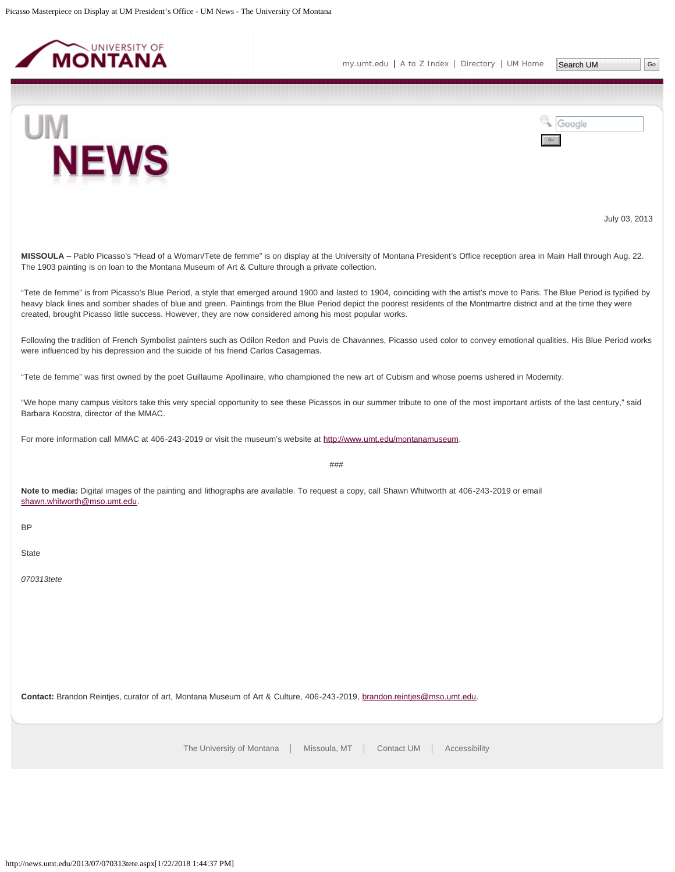<span id="page-31-0"></span>

UM



July 03, 2013

**MISSOULA** – Pablo Picasso's "Head of a Woman/Tete de femme" is on display at the University of Montana President's Office reception area in Main Hall through Aug. 22. The 1903 painting is on loan to the Montana Museum of Art & Culture through a private collection.

"Tete de femme" is from Picasso's Blue Period, a style that emerged around 1900 and lasted to 1904, coinciding with the artist's move to Paris. The Blue Period is typified by heavy black lines and somber shades of blue and green. Paintings from the Blue Period depict the poorest residents of the Montmartre district and at the time they were created, brought Picasso little success. However, they are now considered among his most popular works.

Following the tradition of French Symbolist painters such as Odilon Redon and Puvis de Chavannes, Picasso used color to convey emotional qualities. His Blue Period works were influenced by his depression and the suicide of his friend Carlos Casagemas.

"Tete de femme" was first owned by the poet Guillaume Apollinaire, who championed the new art of Cubism and whose poems ushered in Modernity.

"We hope many campus visitors take this very special opportunity to see these Picassos in our summer tribute to one of the most important artists of the last century," said Barbara Koostra, director of the MMAC.

For more information call MMAC at 406-243-2019 or visit the museum's website at [http://www.umt.edu/montanamuseum.](http://www.umt.edu/montanamuseum)

###

**Note to media:** Digital images of the painting and lithographs are available. To request a copy, call Shawn Whitworth at 406-243-2019 or email [shawn.whitworth@mso.umt.edu](mailto:shawn.whitworth@mso.umt.edu).

BP

**State** 

*070313tete*

**Contact:** Brandon Reintjes, curator of art, Montana Museum of Art & Culture, 406-243-2019, [brandon.reintjes@mso.umt.edu.](mailto:brandon.reintjes@mso.umt.edu)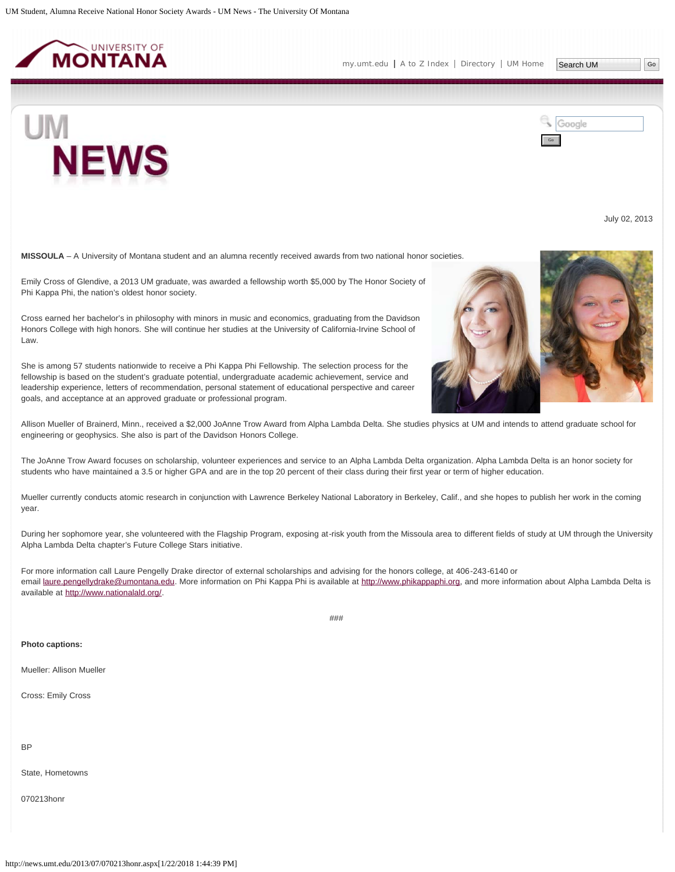<span id="page-32-0"></span>

UM

Google Go

July 02, 2013

**MISSOULA** – A University of Montana student and an alumna recently received awards from two national honor societies.

Emily Cross of Glendive, a 2013 UM graduate, was awarded a fellowship worth \$5,000 by The Honor Society of Phi Kappa Phi, the nation's oldest honor society.

Cross earned her bachelor's in philosophy with minors in music and economics, graduating from the Davidson Honors College with high honors. She will continue her studies at the University of California-Irvine School of Law.

She is among 57 students nationwide to receive a Phi Kappa Phi Fellowship. The selection process for the fellowship is based on the student's graduate potential, undergraduate academic achievement, service and leadership experience, letters of recommendation, personal statement of educational perspective and career goals, and acceptance at an approved graduate or professional program.

Allison Mueller of Brainerd, Minn., received a \$2,000 JoAnne Trow Award from Alpha Lambda Delta. She studies physics at UM and intends to attend graduate school for engineering or geophysics. She also is part of the Davidson Honors College.

The JoAnne Trow Award focuses on scholarship, volunteer experiences and service to an Alpha Lambda Delta organization. Alpha Lambda Delta is an honor society for students who have maintained a 3.5 or higher GPA and are in the top 20 percent of their class during their first year or term of higher education.

Mueller currently conducts atomic research in conjunction with Lawrence Berkeley National Laboratory in Berkeley, Calif., and she hopes to publish her work in the coming year.

During her sophomore year, she volunteered with the Flagship Program, exposing at-risk youth from the Missoula area to different fields of study at UM through the University Alpha Lambda Delta chapter's Future College Stars initiative.

For more information call Laure Pengelly Drake director of external scholarships and advising for the honors college, at 406-243-6140 or email [laure.pengellydrake@umontana.edu.](mailto:laure.pengellydrake@umontana.edu) More information on Phi Kappa Phi is available at [http://www.phikappaphi.org](http://www.phikappaphi.org/), and more information about Alpha Lambda Delta is available at [http://www.nationalald.org/.](http://www.nationalald.org/)

###

#### **Photo captions:**

Mueller: Allison Mueller

Cross: Emily Cross

BP

State, Hometowns

070213honr

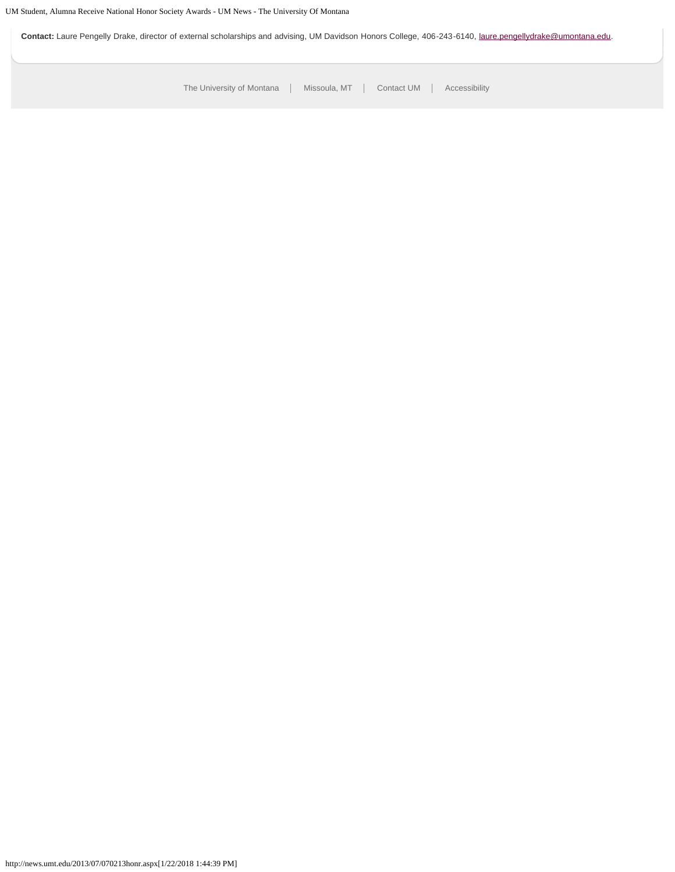Contact: Laure Pengelly Drake, director of external scholarships and advising, UM Davidson Honors College, 406-243-6140, [laure.pengellydrake@umontana.edu.](mailto:laure.pengellydrake@umontana.edu)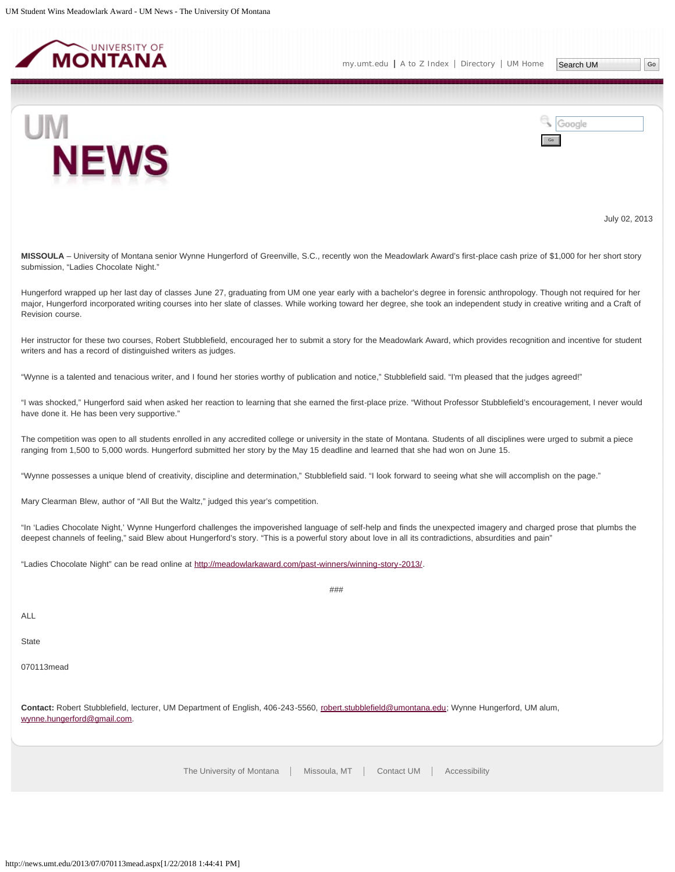<span id="page-34-0"></span>



July 02, 2013

**MISSOULA** – University of Montana senior Wynne Hungerford of Greenville, S.C., recently won the Meadowlark Award's first-place cash prize of \$1,000 for her short story submission, "Ladies Chocolate Night."

Hungerford wrapped up her last day of classes June 27, graduating from UM one year early with a bachelor's degree in forensic anthropology. Though not required for her major, Hungerford incorporated writing courses into her slate of classes. While working toward her degree, she took an independent study in creative writing and a Craft of Revision course.

Her instructor for these two courses, Robert Stubblefield, encouraged her to submit a story for the Meadowlark Award, which provides recognition and incentive for student writers and has a record of distinguished writers as judges.

"Wynne is a talented and tenacious writer, and I found her stories worthy of publication and notice," Stubblefield said. "I'm pleased that the judges agreed!"

"I was shocked," Hungerford said when asked her reaction to learning that she earned the first-place prize. "Without Professor Stubblefield's encouragement, I never would have done it. He has been very supportive."

The competition was open to all students enrolled in any accredited college or university in the state of Montana. Students of all disciplines were urged to submit a piece ranging from 1,500 to 5,000 words. Hungerford submitted her story by the May 15 deadline and learned that she had won on June 15.

"Wynne possesses a unique blend of creativity, discipline and determination," Stubblefield said. "I look forward to seeing what she will accomplish on the page."

Mary Clearman Blew, author of "All But the Waltz," judged this year's competition.

"In 'Ladies Chocolate Night,' Wynne Hungerford challenges the impoverished language of self-help and finds the unexpected imagery and charged prose that plumbs the deepest channels of feeling," said Blew about Hungerford's story. "This is a powerful story about love in all its contradictions, absurdities and pain"

###

"Ladies Chocolate Night" can be read online at<http://meadowlarkaward.com/past-winners/winning-story-2013/>.

ALL

**State** 

070113mead

**Contact:** Robert Stubblefield, lecturer, UM Department of English, 406-243-5560, [robert.stubblefield@umontana.edu](mailto:robert.stubblefield@umontana.edu); Wynne Hungerford, UM alum, [wynne.hungerford@gmail.com](mailto:wynne.hungerford@gmail.com).